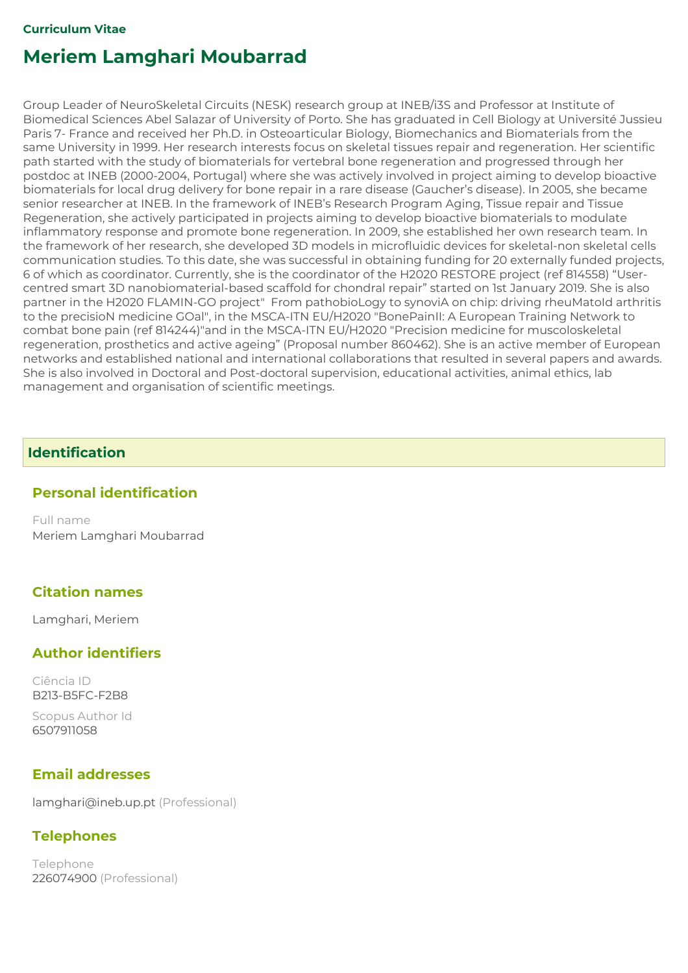Group Leader of NeuroSkeletal Circuits (NESK) research group at INEB/i3S and Professor at Institute of Biomedical Sciences Abel Salazar of University of Porto. She has graduated in Cell Biology at Université Jussieu Paris 7- France and received her Ph.D. in Osteoarticular Biology, Biomechanics and Biomaterials from the same University in 1999. Her research interests focus on skeletal tissues repair and regeneration. Her scientific path started with the study of biomaterials for vertebral bone regeneration and progressed through her postdoc at INEB (2000-2004, Portugal) where she was actively involved in project aiming to develop bioactive biomaterials for local drug delivery for bone repair in a rare disease (Gaucher's disease). In 2005, she became senior researcher at INEB. In the framework of INEB's Research Program Aging, Tissue repair and Tissue Regeneration, she actively participated in projects aiming to develop bioactive biomaterials to modulate inflammatory response and promote bone regeneration. In 2009, she established her own research team. In the framework of her research, she developed 3D models in microfluidic devices for skeletal-non skeletal cells communication studies. To this date, she was successful in obtaining funding for 20 externally funded projects, 6 of which as coordinator. Currently, she is the coordinator of the H2020 RESTORE project (ref 814558) "Usercentred smart 3D nanobiomaterial-based scaffold for chondral repair" started on 1st January 2019. She is also partner in the H2020 FLAMIN-GO project" From pathobioLogy to synoviA on chip: driving rheuMatoId arthritis to the precisioN medicine GOal", in the MSCA-ITN EU/H2020 "BonePainII: A European Training Network to combat bone pain (ref 814244)"and in the MSCA-ITN EU/H2020 "Precision medicine for muscoloskeletal regeneration, prosthetics and active ageing" (Proposal number 860462). She is an active member of European networks and established national and international collaborations that resulted in several papers and awards. She is also involved in Doctoral and Post-doctoral supervision, educational activities, animal ethics, lab management and organisation of scientific meetings.

### Identification

#### Personal identification

Full name Meriem Lamghari Moubarrad

### Citation names

Lamghari, Meriem

### Author identifiers

Ciência ID B213-B5FC-F2B8

Scopus Author Id 6507911058

### Email addresses

lamghari@ineb.up.pt (Professional)

### **Telephones**

Telephone 226074900 (Professional)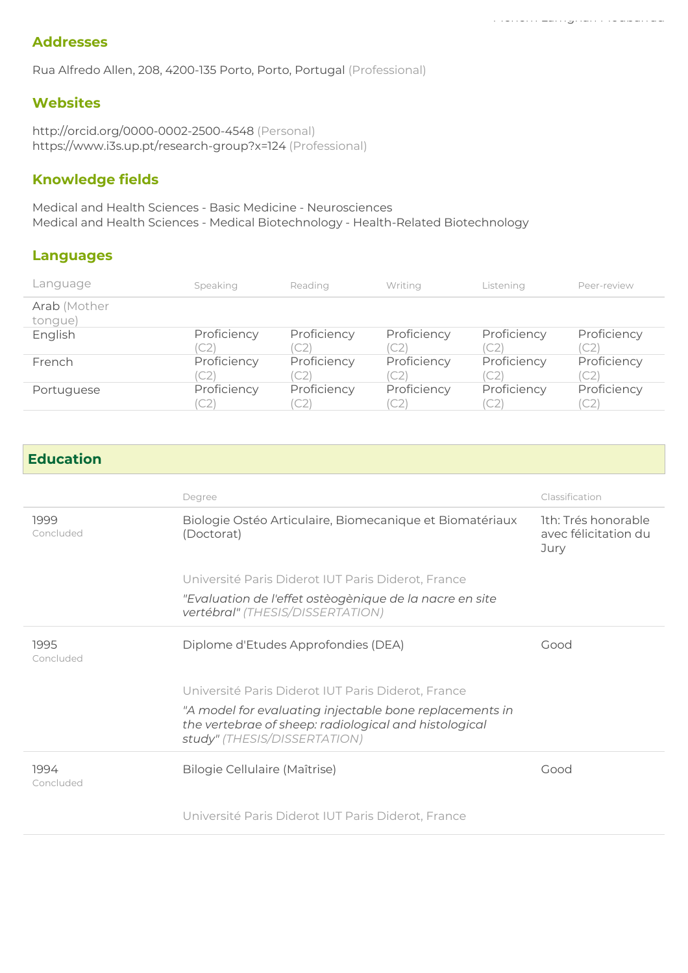#### Addresses

Rua Alfredo Allen, 208, 4200-135 Porto, Porto, Portugal (Professional)

#### **Websites**

http://orcid.org/0000-0002-2500-4548 (Personal) https://www.i3s.up.pt/research-group?x=124 (Professional)

### Knowledge fields

Medical and Health Sciences - Basic Medicine - Neurosciences Medical and Health Sciences - Medical Biotechnology - Health-Related Biotechnology

#### Languages

| Language                | Speaking          | Reading             | Writing           | Listening                     | Peer-review       |
|-------------------------|-------------------|---------------------|-------------------|-------------------------------|-------------------|
| Arab (Mother<br>tongue) |                   |                     |                   |                               |                   |
| English                 | Proficiency<br>C2 | Proficiency<br>'C2  | Proficiency       | Proficiency<br>C2             | Proficiency<br>C2 |
| French                  | Proficiency<br>C2 | Proficiency<br>(C2) | Proficiency       | Proficiency<br>C <sub>2</sub> | Proficiency<br>C2 |
| Portuguese              | Proficiency<br>C2 | Proficiency<br>(C2) | Proficiency<br>C2 | Proficiency<br>(C2)           | Proficiency<br>C2 |

#### Education

|                   | Degree                                                                                                                                           | Classification                                      |
|-------------------|--------------------------------------------------------------------------------------------------------------------------------------------------|-----------------------------------------------------|
| 1999<br>Concluded | Biologie Ostéo Articulaire, Biomecanique et Biomatériaux<br>(Doctorat)                                                                           | Ith: Trés honorable<br>avec félicitation du<br>Jury |
|                   | Université Paris Diderot IUT Paris Diderot, France                                                                                               |                                                     |
|                   | "Evaluation de l'effet ostèogènique de la nacre en site<br>vertébral" (THESIS/DISSERTATION)                                                      |                                                     |
| 1995<br>Concluded | Diplome d'Etudes Approfondies (DEA)                                                                                                              | Good                                                |
|                   | Université Paris Diderot IUT Paris Diderot, France                                                                                               |                                                     |
|                   | "A model for evaluating injectable bone replacements in<br>the vertebrae of sheep: radiological and histological<br>study" (THESIS/DISSERTATION) |                                                     |
| 1994<br>Concluded | Bilogie Cellulaire (Maîtrise)                                                                                                                    | Good                                                |
|                   | Université Paris Diderot IUT Paris Diderot, France                                                                                               |                                                     |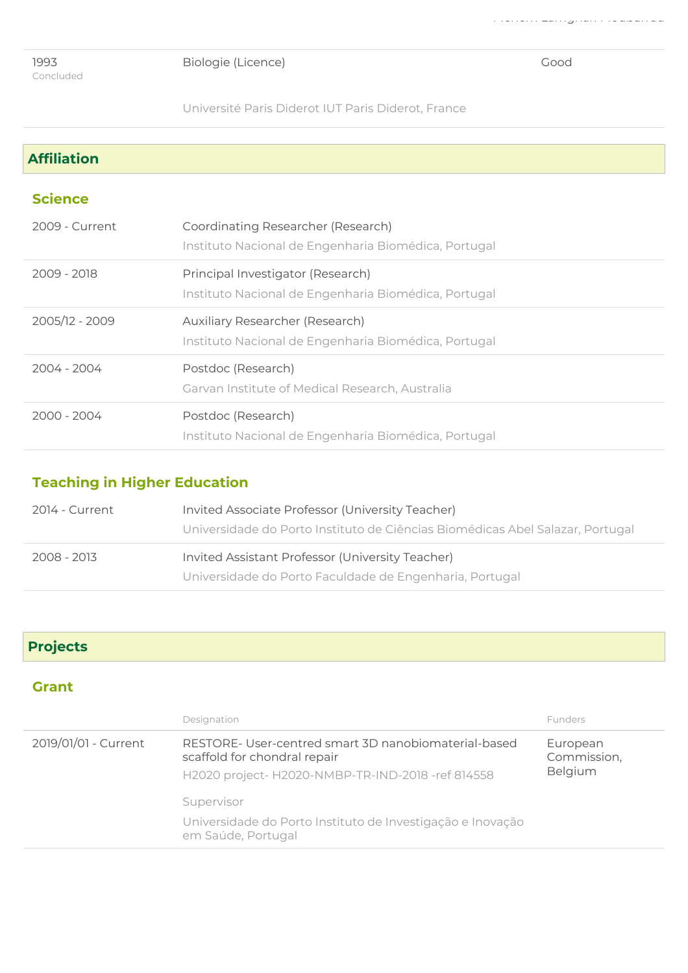Biologie (Licence) Good

Meriem Lamghari Moubarrad

Université Paris Diderot IUT Paris Diderot, France

| <b>Affiliation</b> |                                                                                            |
|--------------------|--------------------------------------------------------------------------------------------|
| <b>Science</b>     |                                                                                            |
| 2009 - Current     | Coordinating Researcher (Research)<br>Instituto Nacional de Engenharia Biomédica, Portugal |
| 2009 - 2018        | Principal Investigator (Research)<br>Instituto Nacional de Engenharia Biomédica, Portugal  |
| 2005/12 - 2009     | Auxiliary Researcher (Research)<br>Instituto Nacional de Engenharia Biomédica, Portugal    |
| 2004 - 2004        | Postdoc (Research)<br>Garvan Institute of Medical Research, Australia                      |
| 2000 - 2004        | Postdoc (Research)<br>Instituto Nacional de Engenharia Biomédica, Portugal                 |

# Teaching in Higher Education

| 2014 - Current | Invited Associate Professor (University Teacher)                              |
|----------------|-------------------------------------------------------------------------------|
|                | Universidade do Porto Instituto de Ciências Biomédicas Abel Salazar, Portugal |
|                |                                                                               |
| 2008 - 2013    | Invited Assistant Professor (University Teacher)                              |

# Projects

### **Grant**

|                      | Designation                                                                                                                              | <b>Funders</b>                     |
|----------------------|------------------------------------------------------------------------------------------------------------------------------------------|------------------------------------|
| 2019/01/01 - Current | RESTORE-User-centred smart 3D nanobiomaterial-based<br>scaffold for chondral repair<br>H2020 project- H2020-NMBP-TR-IND-2018 -ref 814558 | European<br>Commission,<br>Belgium |
|                      | Supervisor<br>Universidade do Porto Instituto de Investigação e Inovação<br>em Saúde, Portugal                                           |                                    |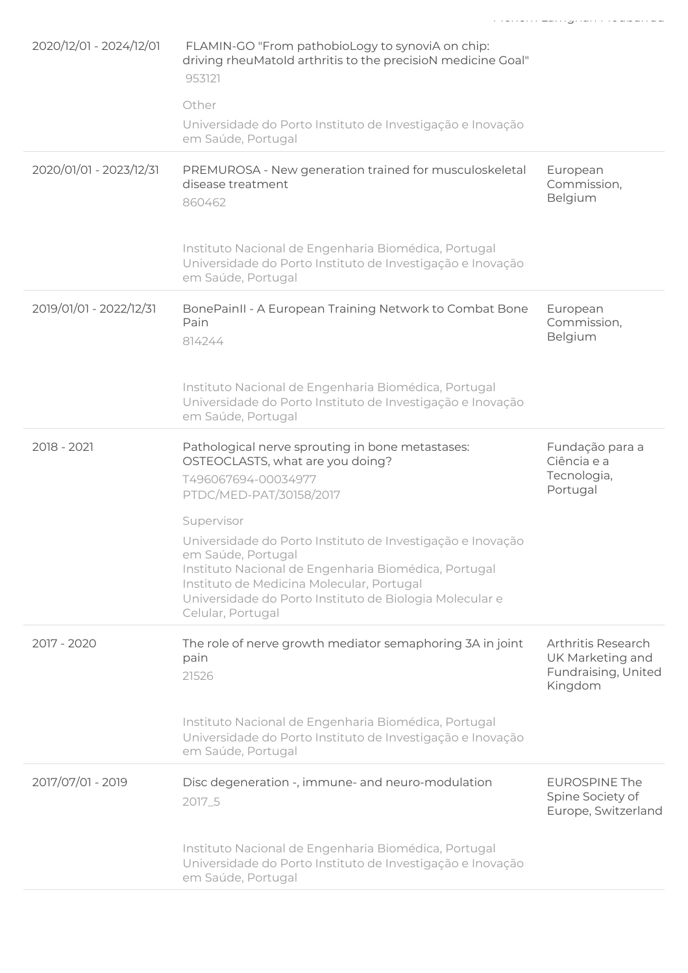| 2020/12/01 - 2024/12/01 | FLAMIN-GO "From pathobioLogy to synoviA on chip:<br>driving rheuMatold arthritis to the precisioN medicine Goal"<br>953121<br>Other<br>Universidade do Porto Instituto de Investigação e Inovação<br>em Saúde, Portugal                                                             |                                                                                 |
|-------------------------|-------------------------------------------------------------------------------------------------------------------------------------------------------------------------------------------------------------------------------------------------------------------------------------|---------------------------------------------------------------------------------|
| 2020/01/01 - 2023/12/31 | PREMUROSA - New generation trained for musculoskeletal<br>disease treatment<br>860462                                                                                                                                                                                               | European<br>Commission,<br>Belgium                                              |
|                         | Instituto Nacional de Engenharia Biomédica, Portugal<br>Universidade do Porto Instituto de Investigação e Inovação<br>em Saúde, Portugal                                                                                                                                            |                                                                                 |
| 2019/01/01 - 2022/12/31 | BonePainII - A European Training Network to Combat Bone<br>Pain<br>814244                                                                                                                                                                                                           | European<br>Commission,<br>Belgium                                              |
|                         | Instituto Nacional de Engenharia Biomédica, Portugal<br>Universidade do Porto Instituto de Investigação e Inovação<br>em Saúde, Portugal                                                                                                                                            |                                                                                 |
| 2018 - 2021             | Pathological nerve sprouting in bone metastases:<br>OSTEOCLASTS, what are you doing?<br>T496067694-00034977<br>PTDC/MED-PAT/30158/2017                                                                                                                                              | Fundação para a<br>Ciência e a<br>Tecnologia,<br>Portugal                       |
|                         | Supervisor<br>Universidade do Porto Instituto de Investigação e Inovação<br>em Saúde, Portugal<br>Instituto Nacional de Engenharia Biomédica, Portugal<br>Instituto de Medicina Molecular, Portugal<br>Universidade do Porto Instituto de Biologia Molecular e<br>Celular, Portugal |                                                                                 |
| 2017 - 2020             | The role of nerve growth mediator semaphoring 3A in joint<br>pain<br>21526                                                                                                                                                                                                          | <b>Arthritis Research</b><br>UK Marketing and<br>Fundraising, United<br>Kingdom |
|                         | Instituto Nacional de Engenharia Biomédica, Portugal<br>Universidade do Porto Instituto de Investigação e Inovação<br>em Saúde, Portugal                                                                                                                                            |                                                                                 |
| 2017/07/01 - 2019       | Disc degeneration -, immune- and neuro-modulation<br>2017_5                                                                                                                                                                                                                         | <b>EUROSPINE The</b><br>Spine Society of<br>Europe, Switzerland                 |
|                         | Instituto Nacional de Engenharia Biomédica, Portugal<br>Universidade do Porto Instituto de Investigação e Inovação<br>em Saúde, Portugal                                                                                                                                            |                                                                                 |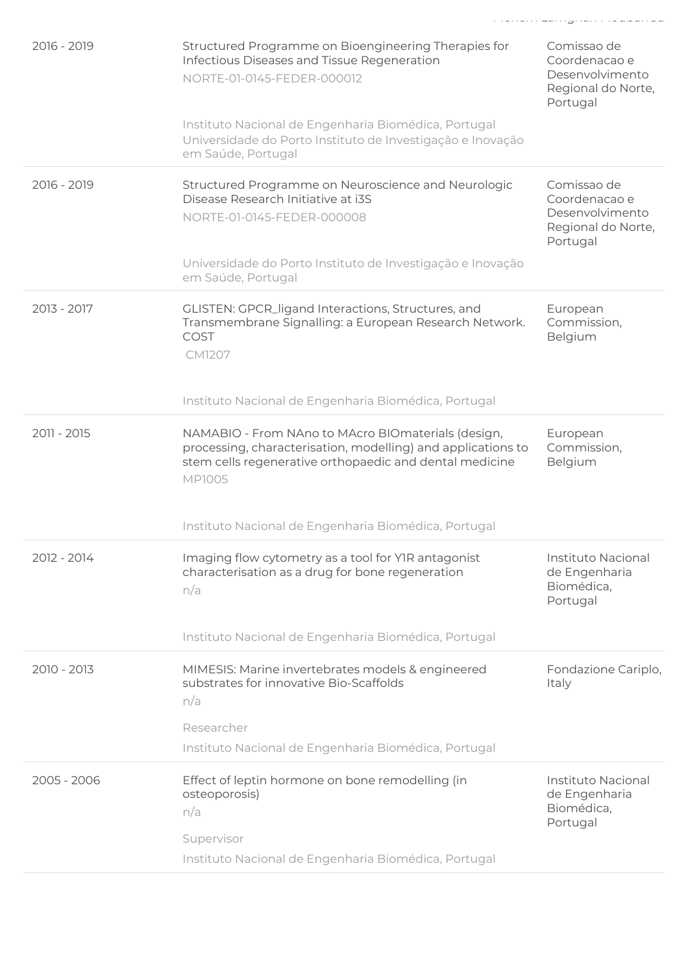| 2016 - 2019   | Structured Programme on Bioengineering Therapies for<br>Infectious Diseases and Tissue Regeneration<br>NORTE-01-0145-FEDER-000012                                                              | Comissao de<br>Coordenacao e<br>Desenvolvimento<br>Regional do Norte,<br>Portugal |
|---------------|------------------------------------------------------------------------------------------------------------------------------------------------------------------------------------------------|-----------------------------------------------------------------------------------|
|               | Instituto Nacional de Engenharia Biomédica, Portugal<br>Universidade do Porto Instituto de Investigação e Inovação<br>em Saúde, Portugal                                                       |                                                                                   |
| 2016 - 2019   | Structured Programme on Neuroscience and Neurologic<br>Disease Research Initiative at i3S<br>NORTE-01-0145-FEDER-000008                                                                        | Comissao de<br>Coordenacao e<br>Desenvolvimento<br>Regional do Norte,<br>Portugal |
|               | Universidade do Porto Instituto de Investigação e Inovação<br>em Saúde, Portugal                                                                                                               |                                                                                   |
| 2013 - 2017   | GLISTEN: GPCR_ligand Interactions, Structures, and<br>Transmembrane Signalling: a European Research Network.<br>COST<br><b>CM1207</b>                                                          | European<br>Commission,<br>Belgium                                                |
|               | Instituto Nacional de Engenharia Biomédica, Portugal                                                                                                                                           |                                                                                   |
| 2011 - 2015   | NAMABIO - From NAno to MAcro BIOmaterials (design,<br>processing, characterisation, modelling) and applications to<br>stem cells regenerative orthopaedic and dental medicine<br><b>MP1005</b> | European<br>Commission,<br>Belgium                                                |
|               | Instituto Nacional de Engenharia Biomédica, Portugal                                                                                                                                           |                                                                                   |
| 2012 - 2014   | Imaging flow cytometry as a tool for YIR antagonist<br>characterisation as a drug for bone regeneration<br>n/a                                                                                 | Instituto Nacional<br>de Engenharia<br>Biomédica,<br>Portugal                     |
|               | Instituto Nacional de Engenharia Biomédica, Portugal                                                                                                                                           |                                                                                   |
| 2010 - 2013   | MIMESIS: Marine invertebrates models & engineered<br>substrates for innovative Bio-Scaffolds<br>n/a                                                                                            | Fondazione Cariplo,<br>Italy                                                      |
|               | Researcher<br>Instituto Nacional de Engenharia Biomédica, Portugal                                                                                                                             |                                                                                   |
| $2005 - 2006$ | Effect of leptin hormone on bone remodelling (in<br>osteoporosis)<br>n/a<br>Supervisor<br>Instituto Nacional de Engenharia Biomédica, Portugal                                                 | Instituto Nacional<br>de Engenharia<br>Biomédica,<br>Portugal                     |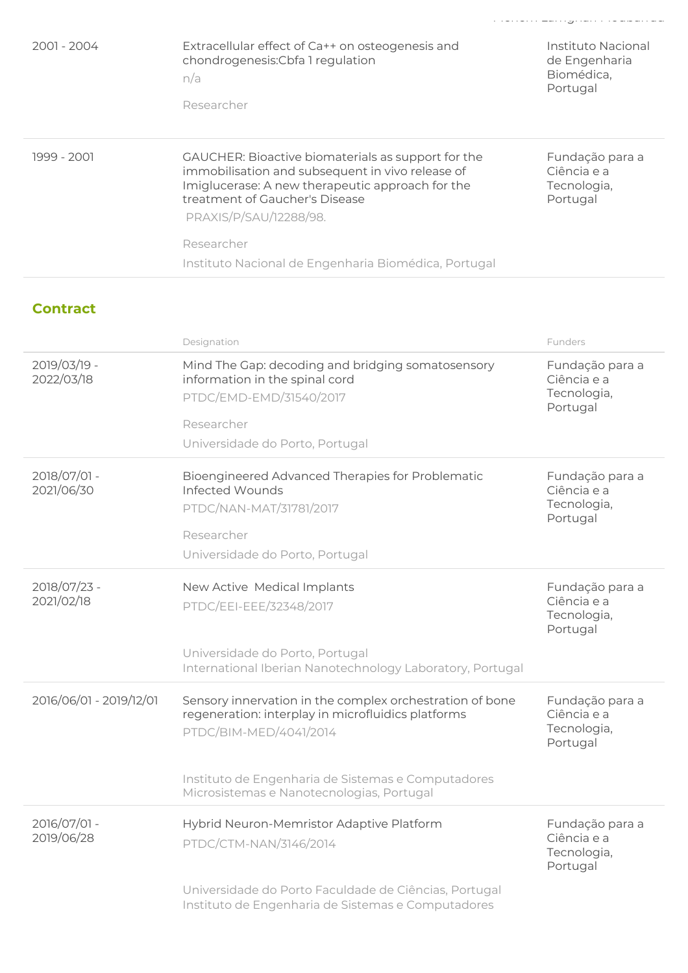| $2001 - 2004$ | Extracellular effect of Ca++ on osteogenesis and<br>chondrogenesis: Cbfa 1 regulation<br>n/a<br>Researcher                                                                                                             | Instituto Nacional<br>de Engenharia<br>Biomédica,<br>Portugal |
|---------------|------------------------------------------------------------------------------------------------------------------------------------------------------------------------------------------------------------------------|---------------------------------------------------------------|
| 1999 - 2001   | GAUCHER: Bioactive biomaterials as support for the<br>immobilisation and subsequent in vivo release of<br>Imiglucerase: A new therapeutic approach for the<br>treatment of Gaucher's Disease<br>PRAXIS/P/SAU/12288/98. | Fundação para a<br>Ciência e a<br>Tecnologia,<br>Portugal     |
|               | Researcher<br>Instituto Nacional de Engenharia Biomédica, Portugal                                                                                                                                                     |                                                               |

### **Contract**

|                            | Designation                                                                                                                              | Funders                                                   |
|----------------------------|------------------------------------------------------------------------------------------------------------------------------------------|-----------------------------------------------------------|
| 2019/03/19 -<br>2022/03/18 | Mind The Gap: decoding and bridging somatosensory<br>information in the spinal cord<br>PTDC/EMD-EMD/31540/2017                           | Fundação para a<br>Ciência e a<br>Tecnologia,<br>Portugal |
|                            | Researcher                                                                                                                               |                                                           |
|                            | Universidade do Porto, Portugal                                                                                                          |                                                           |
| 2018/07/01 -<br>2021/06/30 | Bioengineered Advanced Therapies for Problematic<br>Infected Wounds                                                                      | Fundação para a<br>Ciência e a                            |
|                            | PTDC/NAN-MAT/31781/2017                                                                                                                  | Tecnologia,<br>Portugal                                   |
|                            | Researcher                                                                                                                               |                                                           |
|                            | Universidade do Porto, Portugal                                                                                                          |                                                           |
| 2018/07/23 -<br>2021/02/18 | New Active Medical Implants                                                                                                              | Fundação para a<br>Ciência e a                            |
|                            | PTDC/EEI-EEE/32348/2017                                                                                                                  | Tecnologia,<br>Portugal                                   |
|                            | Universidade do Porto, Portugal<br>International Iberian Nanotechnology Laboratory, Portugal                                             |                                                           |
| 2016/06/01 - 2019/12/01    | Sensory innervation in the complex orchestration of bone<br>regeneration: interplay in microfluidics platforms<br>PTDC/BIM-MED/4041/2014 | Fundação para a<br>Ciência e a<br>Tecnologia,<br>Portugal |
|                            | Instituto de Engenharia de Sistemas e Computadores<br>Microsistemas e Nanotecnologias, Portugal                                          |                                                           |
| 2016/07/01 -<br>2019/06/28 | Hybrid Neuron-Memristor Adaptive Platform                                                                                                | Fundação para a<br>Ciência e a                            |
|                            | PTDC/CTM-NAN/3146/2014                                                                                                                   | Tecnologia,<br>Portugal                                   |
|                            | Universidade do Porto Faculdade de Ciências, Portugal<br>Instituto de Engenharia de Sistemas e Computadores                              |                                                           |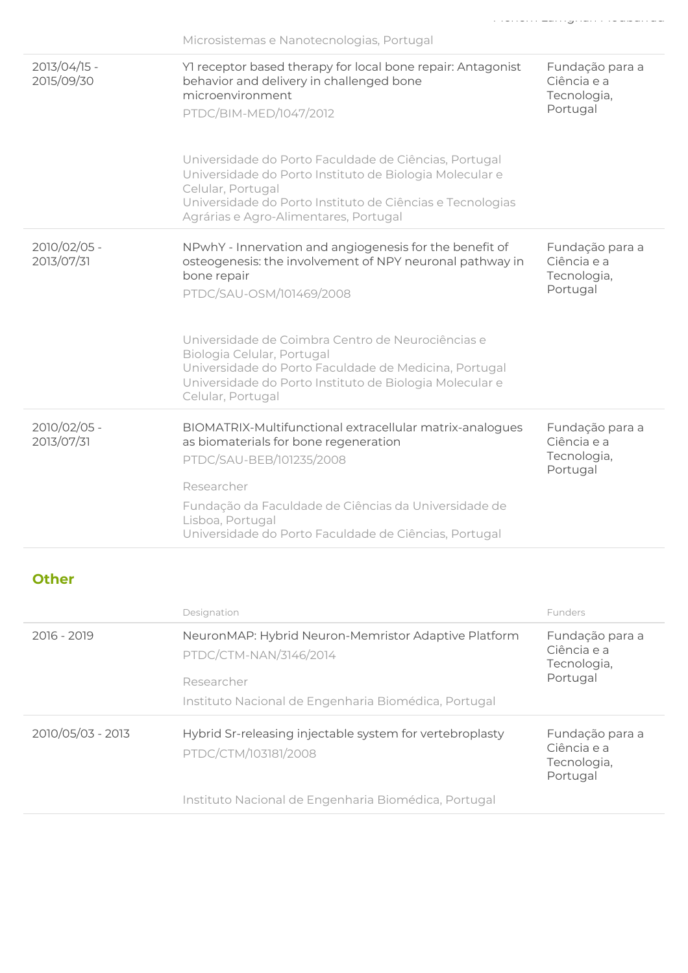|                            | Microsistemas e Nanotecnologias, Portugal                                                                                                                                                                                                   |                                                           |
|----------------------------|---------------------------------------------------------------------------------------------------------------------------------------------------------------------------------------------------------------------------------------------|-----------------------------------------------------------|
| 2013/04/15 -<br>2015/09/30 | Yl receptor based therapy for local bone repair: Antagonist<br>behavior and delivery in challenged bone<br>microenvironment<br>PTDC/BIM-MED/1047/2012                                                                                       | Fundação para a<br>Ciência e a<br>Tecnologia,<br>Portugal |
|                            | Universidade do Porto Faculdade de Ciências, Portugal<br>Universidade do Porto Instituto de Biologia Molecular e<br>Celular, Portugal<br>Universidade do Porto Instituto de Ciências e Tecnologias<br>Agrárias e Agro-Alimentares, Portugal |                                                           |
| 2010/02/05 -<br>2013/07/31 | NPwhY - Innervation and angiogenesis for the benefit of<br>osteogenesis: the involvement of NPY neuronal pathway in<br>bone repair<br>PTDC/SAU-OSM/101469/2008                                                                              | Fundação para a<br>Ciência e a<br>Tecnologia,<br>Portugal |
|                            | Universidade de Coimbra Centro de Neurociências e<br>Biologia Celular, Portugal<br>Universidade do Porto Faculdade de Medicina, Portugal<br>Universidade do Porto Instituto de Biologia Molecular e<br>Celular, Portugal                    |                                                           |
| 2010/02/05 -<br>2013/07/31 | BIOMATRIX-Multifunctional extracellular matrix-analogues<br>as biomaterials for bone regeneration<br>PTDC/SAU-BEB/101235/2008                                                                                                               | Fundação para a<br>Ciência e a<br>Tecnologia,<br>Portugal |
|                            | Researcher<br>Fundação da Faculdade de Ciências da Universidade de<br>Lisboa, Portugal<br>Universidade do Porto Faculdade de Ciências, Portugal                                                                                             |                                                           |

### **Other**

|                   | Designation                                                                      | Funders                                                   |
|-------------------|----------------------------------------------------------------------------------|-----------------------------------------------------------|
| 2016 - 2019       | NeuronMAP: Hybrid Neuron-Memristor Adaptive Platform<br>PTDC/CTM-NAN/3146/2014   | Fundação para a<br>Ciência e a<br>Tecnologia,             |
|                   | Researcher                                                                       | Portugal                                                  |
|                   | Instituto Nacional de Engenharia Biomédica, Portugal                             |                                                           |
| 2010/05/03 - 2013 | Hybrid Sr-releasing injectable system for vertebroplasty<br>PTDC/CTM/103181/2008 | Fundação para a<br>Ciência e a<br>Tecnologia,<br>Portugal |
|                   | Instituto Nacional de Engenharia Biomédica, Portugal                             |                                                           |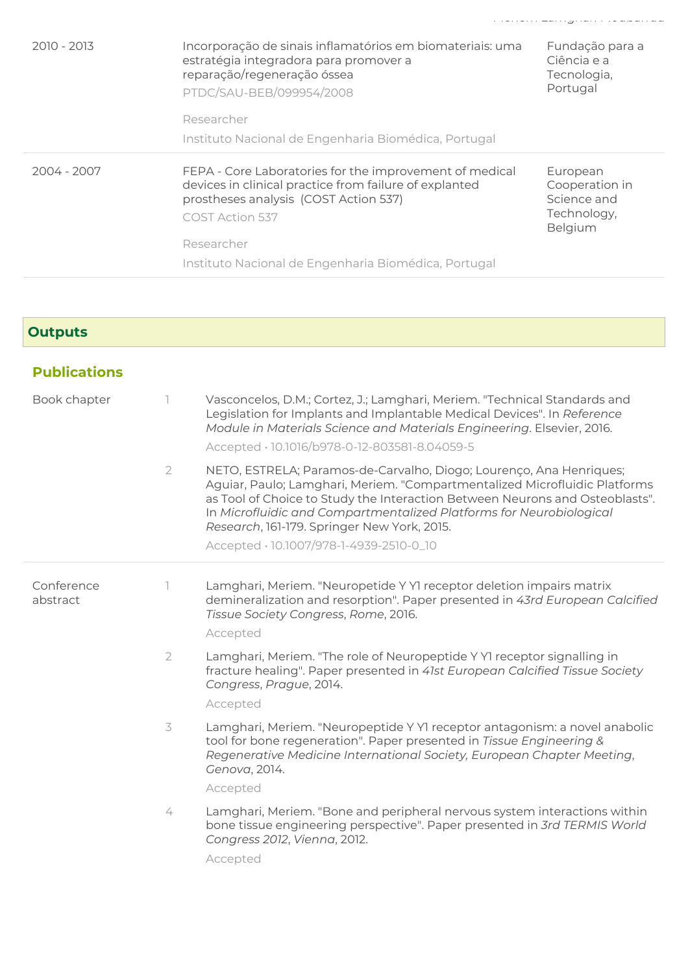| 2010 - 2013 | Incorporação de sinais inflamatórios em biomateriais: uma<br>estratégia integradora para promover a<br>reparação/regeneração óssea<br>PTDC/SAU-BEB/099954/2008<br>Researcher                                                                        | Fundação para a<br>Ciência e a<br>Tecnologia,<br>Portugal           |
|-------------|-----------------------------------------------------------------------------------------------------------------------------------------------------------------------------------------------------------------------------------------------------|---------------------------------------------------------------------|
|             | Instituto Nacional de Engenharia Biomédica, Portugal                                                                                                                                                                                                |                                                                     |
| 2004 - 2007 | FEPA - Core Laboratories for the improvement of medical<br>devices in clinical practice from failure of explanted<br>prostheses analysis (COST Action 537)<br>COST Action 537<br>Researcher<br>Instituto Nacional de Engenharia Biomédica, Portugal | European<br>Cooperation in<br>Science and<br>Technology,<br>Belgium |

## **Outputs**

| <b>Publications</b>    |                |                                                                                                                                                                                                                                                                                                                                                         |
|------------------------|----------------|---------------------------------------------------------------------------------------------------------------------------------------------------------------------------------------------------------------------------------------------------------------------------------------------------------------------------------------------------------|
| Book chapter           | ı.             | Vasconcelos, D.M.; Cortez, J.; Lamghari, Meriem. "Technical Standards and<br>Legislation for Implants and Implantable Medical Devices". In Reference<br>Module in Materials Science and Materials Engineering. Elsevier, 2016.<br>Accepted · 10.1016/b978-0-12-803581-8.04059-5                                                                         |
|                        | $\overline{2}$ | NETO, ESTRELA; Paramos-de-Carvalho, Diogo; Lourenço, Ana Henriques;<br>Aguiar, Paulo; Lamghari, Meriem. "Compartmentalized Microfluidic Platforms<br>as Tool of Choice to Study the Interaction Between Neurons and Osteoblasts".<br>In Microfluidic and Compartmentalized Platforms for Neurobiological<br>Research, 161-179. Springer New York, 2015. |
|                        |                | Accepted · 10.1007/978-1-4939-2510-0_10                                                                                                                                                                                                                                                                                                                 |
| Conference<br>abstract |                | Lamghari, Meriem. "Neuropetide Y YI receptor deletion impairs matrix<br>demineralization and resorption". Paper presented in 43rd European Calcified<br>Tissue Society Congress, Rome, 2016.                                                                                                                                                            |
|                        |                | Accepted                                                                                                                                                                                                                                                                                                                                                |
|                        | $\overline{2}$ | Lamghari, Meriem. "The role of Neuropeptide Y YI receptor signalling in<br>fracture healing". Paper presented in 41st European Calcified Tissue Society<br>Congress, Prague, 2014.                                                                                                                                                                      |
|                        |                | Accepted                                                                                                                                                                                                                                                                                                                                                |
|                        | 3              | Lamghari, Meriem. "Neuropeptide Y YI receptor antagonism: a novel anabolic<br>tool for bone regeneration". Paper presented in Tissue Engineering &<br>Regenerative Medicine International Society, European Chapter Meeting,<br>Genova, 2014.                                                                                                           |
|                        |                | Accepted                                                                                                                                                                                                                                                                                                                                                |
|                        | 4              | Lamghari, Meriem. "Bone and peripheral nervous system interactions within<br>bone tissue engineering perspective". Paper presented in 3rd TERMIS World<br>Congress 2012, Vienna, 2012.                                                                                                                                                                  |
|                        |                | Accepted                                                                                                                                                                                                                                                                                                                                                |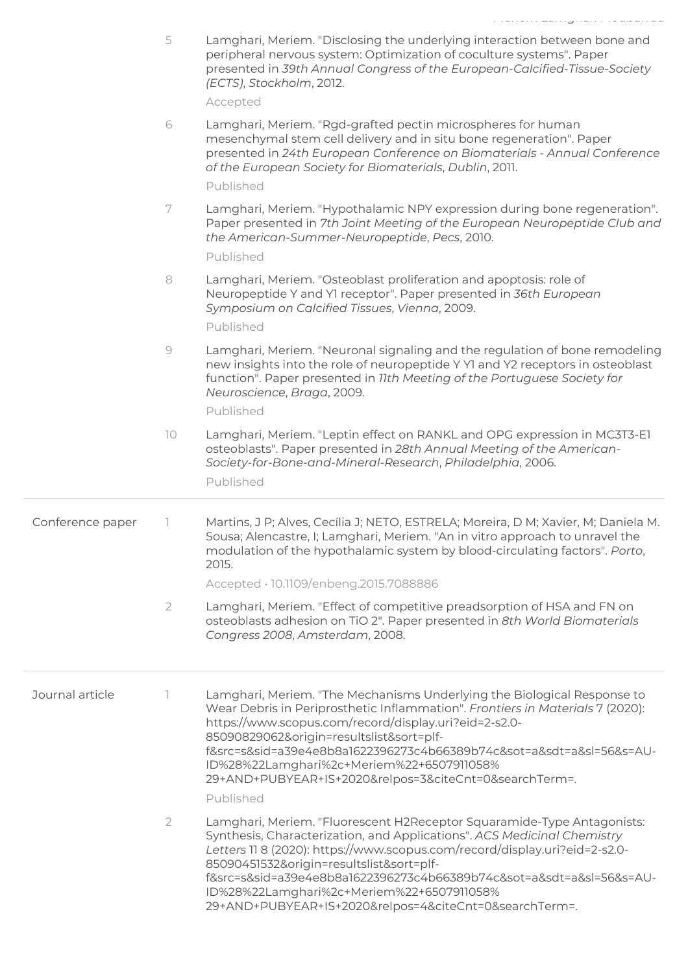|                  |                | المالما والمستقلة ماورد والمساورين والمستورة والمساورة                                                                                                                                                                                                                                                                                                                                                                                                     |
|------------------|----------------|------------------------------------------------------------------------------------------------------------------------------------------------------------------------------------------------------------------------------------------------------------------------------------------------------------------------------------------------------------------------------------------------------------------------------------------------------------|
|                  | 5              | Lamghari, Meriem. "Disclosing the underlying interaction between bone and<br>peripheral nervous system: Optimization of coculture systems". Paper<br>presented in 39th Annual Congress of the European-Calcified-Tissue-Society<br>(ECTS), Stockholm, 2012.<br>Accepted                                                                                                                                                                                    |
|                  | 6              | Lamghari, Meriem. "Rgd-grafted pectin microspheres for human<br>mesenchymal stem cell delivery and in situ bone regeneration". Paper<br>presented in 24th European Conference on Biomaterials - Annual Conference<br>of the European Society for Biomaterials, Dublin, 2011.                                                                                                                                                                               |
|                  | 7              | Published<br>Lamghari, Meriem. "Hypothalamic NPY expression during bone regeneration".                                                                                                                                                                                                                                                                                                                                                                     |
|                  |                | Paper presented in 7th Joint Meeting of the European Neuropeptide Club and<br>the American-Summer-Neuropeptide, Pecs, 2010.<br>Published                                                                                                                                                                                                                                                                                                                   |
|                  |                |                                                                                                                                                                                                                                                                                                                                                                                                                                                            |
|                  | 8              | Lamghari, Meriem. "Osteoblast proliferation and apoptosis: role of<br>Neuropeptide Y and YI receptor". Paper presented in 36th European<br>Symposium on Calcified Tissues, Vienna, 2009.<br>Published                                                                                                                                                                                                                                                      |
|                  | 9              | Lamghari, Meriem. "Neuronal signaling and the regulation of bone remodeling<br>new insights into the role of neuropeptide Y Y1 and Y2 receptors in osteoblast<br>function". Paper presented in 11th Meeting of the Portuguese Society for<br>Neuroscience, Braga, 2009.                                                                                                                                                                                    |
|                  |                | Published                                                                                                                                                                                                                                                                                                                                                                                                                                                  |
|                  | 10             | Lamghari, Meriem. "Leptin effect on RANKL and OPG expression in MC3T3-E1<br>osteoblasts". Paper presented in 28th Annual Meeting of the American-<br>Society-for-Bone-and-Mineral-Research, Philadelphia, 2006.                                                                                                                                                                                                                                            |
|                  |                | Published                                                                                                                                                                                                                                                                                                                                                                                                                                                  |
| Conference paper |                | Martins, J P; Alves, Cecília J; NETO, ESTRELA; Moreira, D M; Xavier, M; Daniela M.<br>Sousa; Alencastre, I; Lamghari, Meriem. "An in vitro approach to unravel the<br>modulation of the hypothalamic system by blood-circulating factors". Porto,<br>2015.                                                                                                                                                                                                 |
|                  |                | Accepted · 10.1109/enbeng.2015.7088886                                                                                                                                                                                                                                                                                                                                                                                                                     |
|                  | $\overline{2}$ | Lamghari, Meriem. "Effect of competitive preadsorption of HSA and FN on<br>osteoblasts adhesion on TiO 2". Paper presented in 8th World Biomaterials<br>Congress 2008, Amsterdam, 2008.                                                                                                                                                                                                                                                                    |
| Journal article  |                | Lamghari, Meriem. "The Mechanisms Underlying the Biological Response to<br>Wear Debris in Periprosthetic Inflammation". Frontiers in Materials 7 (2020):<br>https://www.scopus.com/record/display.uri?eid=2-s2.0-<br>85090829062&origin=resultslist&sort=plf-<br>f&src=s&sid=a39e4e8b8a1622396273c4b66389b74c&sot=a&sdt=a&sl=56&s=AU-<br>ID%28%22Lamghari%2c+Meriem%22+6507911058%<br>29+AND+PUBYEAR+IS+2020&relpos=3&citeCnt=0&searchTerm=.               |
|                  |                | Published                                                                                                                                                                                                                                                                                                                                                                                                                                                  |
|                  | $\overline{2}$ | Lamghari, Meriem. "Fluorescent H2Receptor Squaramide-Type Antagonists:<br>Synthesis, Characterization, and Applications". ACS Medicinal Chemistry<br>Letters 11 8 (2020): https://www.scopus.com/record/display.uri?eid=2-s2.0-<br>85090451532&origin=resultslist&sort=plf-<br>f&src=s&sid=a39e4e8b8a1622396273c4b66389b74c&sot=a&sdt=a&sl=56&s=AU-<br>ID%28%22Lamghari%2c+Meriem%22+6507911058%<br>29+AND+PUBYEAR+IS+2020&relpos=4&citeCnt=0&searchTerm=. |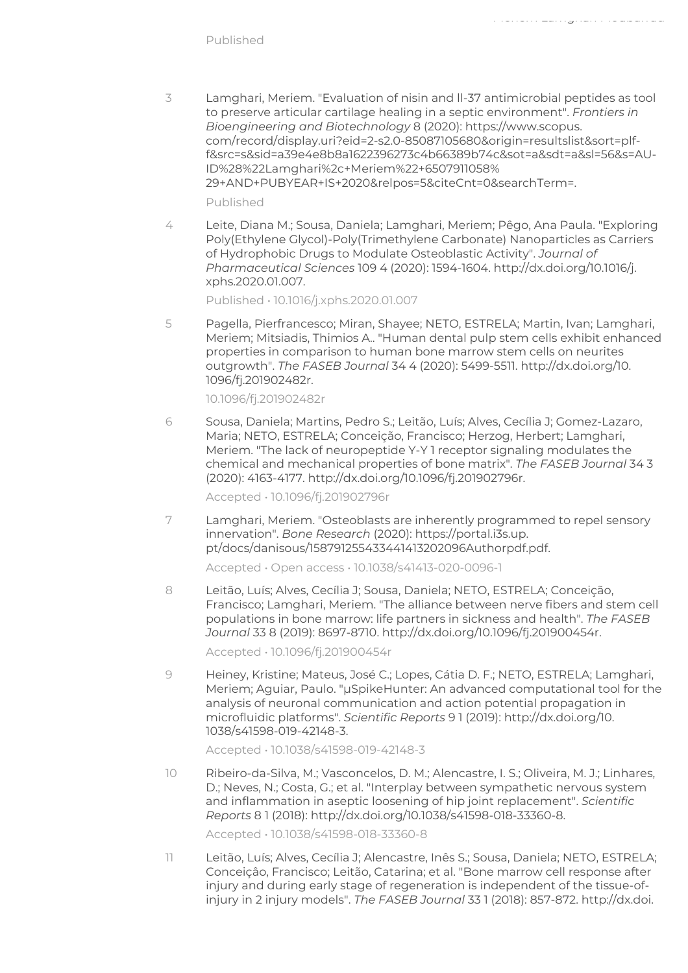3 Lamghari, Meriem. "Evaluation of nisin and ll-37 antimicrobial peptides as tool to preserve articular cartilage healing in a septic environment". Frontiers in Bioengineering and Biotechnology 8 (2020): https://www.scopus. com/record/display.uri?eid=2-s2.0-85087105680&origin=resultslist&sort=plff&src=s&sid=a39e4e8b8a1622396273c4b66389b74c&sot=a&sdt=a&sl=56&s=AU-ID%28%22Lamghari%2c+Meriem%22+6507911058% 29+AND+PUBYEAR+IS+2020&relpos=5&citeCnt=0&searchTerm=.

Meriem Lamghari Moubarrad

Published

4 Leite, Diana M.; Sousa, Daniela; Lamghari, Meriem; Pêgo, Ana Paula. "Exploring Poly(Ethylene Glycol)-Poly(Trimethylene Carbonate) Nanoparticles as Carriers of Hydrophobic Drugs to Modulate Osteoblastic Activity". Journal of Pharmaceutical Sciences 109 4 (2020): 1594-1604. http://dx.doi.org/10.1016/j. xphs.2020.01.007.

Published • 10.1016/j.xphs.2020.01.007

5 Pagella, Pierfrancesco; Miran, Shayee; NETO, ESTRELA; Martin, Ivan; Lamghari, Meriem; Mitsiadis, Thimios A.. "Human dental pulp stem cells exhibit enhanced properties in comparison to human bone marrow stem cells on neurites outgrowth". The FASEB Journal 34 4 (2020): 5499-5511. http://dx.doi.org/10. 1096/fj.201902482r.

10.1096/fj.201902482r

6 Sousa, Daniela; Martins, Pedro S.; Leitão, Luís; Alves, Cecília J; Gomez-Lazaro, Maria; NETO, ESTRELA; Conceição, Francisco; Herzog, Herbert; Lamghari, Meriem. "The lack of neuropeptide Y-Y 1 receptor signaling modulates the chemical and mechanical properties of bone matrix". The FASEB Journal 34 3 (2020): 4163-4177. http://dx.doi.org/10.1096/fj.201902796r.

Accepted • 10.1096/fj.201902796r

7 Lamghari, Meriem. "Osteoblasts are inherently programmed to repel sensory innervation". Bone Research (2020): https://portal.i3s.up. pt/docs/danisous/158791255433441413202096Authorpdf.pdf.

Accepted • Open access • 10.1038/s41413-020-0096-1

8 Leitão, Luís; Alves, Cecília J; Sousa, Daniela; NETO, ESTRELA; Conceição, Francisco; Lamghari, Meriem. "The alliance between nerve fibers and stem cell populations in bone marrow: life partners in sickness and health". The FASEB Journal 33 8 (2019): 8697-8710. http://dx.doi.org/10.1096/fj.201900454r.

Accepted • 10.1096/fj.201900454r

9 Heiney, Kristine; Mateus, José C.; Lopes, Cátia D. F.; NETO, ESTRELA; Lamghari, Meriem; Aguiar, Paulo. "µSpikeHunter: An advanced computational tool for the analysis of neuronal communication and action potential propagation in microfluidic platforms". Scientific Reports 9 1 (2019): http://dx.doi.org/10. 1038/s41598-019-42148-3.

Accepted • 10.1038/s41598-019-42148-3

10 Ribeiro-da-Silva, M.; Vasconcelos, D. M.; Alencastre, I. S.; Oliveira, M. J.; Linhares, D.; Neves, N.; Costa, G.; et al. "Interplay between sympathetic nervous system and inflammation in aseptic loosening of hip joint replacement". Scientific Reports 8 1 (2018): http://dx.doi.org/10.1038/s41598-018-33360-8.

Accepted • 10.1038/s41598-018-33360-8

11 Leitão, Luís; Alves, Cecília J; Alencastre, Inês S.; Sousa, Daniela; NETO, ESTRELA; Conceiçâo, Francisco; Leitão, Catarina; et al. "Bone marrow cell response after injury and during early stage of regeneration is independent of the tissue-ofinjury in 2 injury models". The FASEB Journal 33 1 (2018): 857-872. http://dx.doi.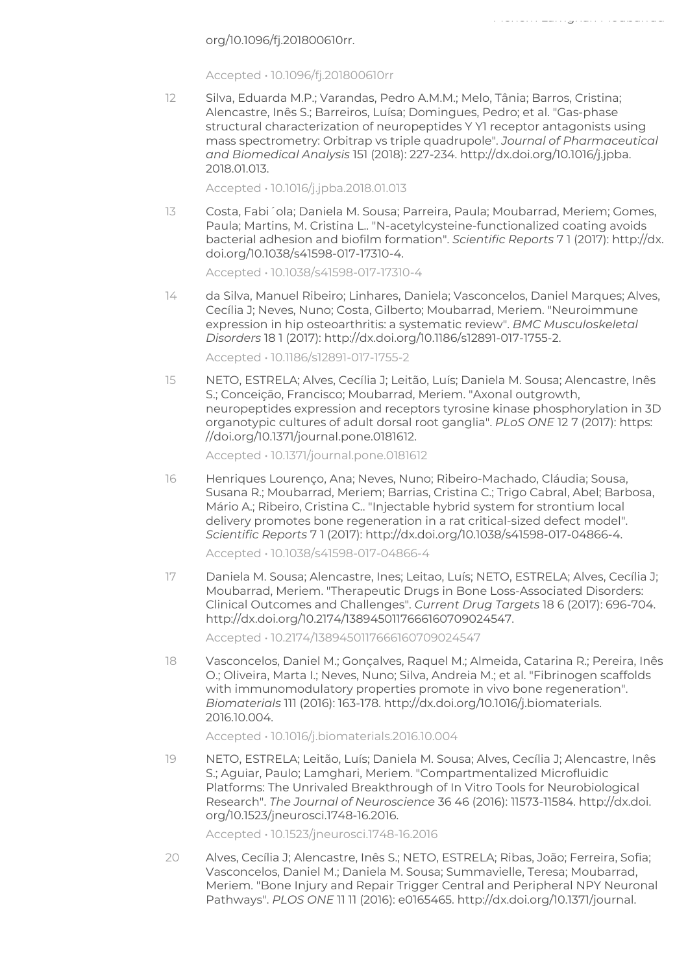org/10.1096/fj.201800610rr.

Accepted • 10.1096/fj.201800610rr

12 Silva, Eduarda M.P.; Varandas, Pedro A.M.M.; Melo, Tânia; Barros, Cristina; Alencastre, Inês S.; Barreiros, Luísa; Domingues, Pedro; et al. "Gas-phase structural characterization of neuropeptides Y Y1 receptor antagonists using mass spectrometry: Orbitrap vs triple quadrupole". Journal of Pharmaceutical and Biomedical Analysis 151 (2018): 227-234. http://dx.doi.org/10.1016/j.jpba. 2018.01.013.

Meriem Lamghari Moubarrad

Accepted • 10.1016/j.jpba.2018.01.013

13 Costa, Fabi´ola; Daniela M. Sousa; Parreira, Paula; Moubarrad, Meriem; Gomes, Paula; Martins, M. Cristina L.. "N-acetylcysteine-functionalized coating avoids bacterial adhesion and biofilm formation". Scientific Reports 7 1 (2017): http://dx. doi.org/10.1038/s41598-017-17310-4.

Accepted • 10.1038/s41598-017-17310-4

14 da Silva, Manuel Ribeiro; Linhares, Daniela; Vasconcelos, Daniel Marques; Alves, Cecília J; Neves, Nuno; Costa, Gilberto; Moubarrad, Meriem. "Neuroimmune expression in hip osteoarthritis: a systematic review". BMC Musculoskeletal Disorders 18 1 (2017): http://dx.doi.org/10.1186/s12891-017-1755-2.

Accepted • 10.1186/s12891-017-1755-2

15 NETO, ESTRELA; Alves, Cecília J; Leitão, Luís; Daniela M. Sousa; Alencastre, Inês S.; Conceição, Francisco; Moubarrad, Meriem. "Axonal outgrowth, neuropeptides expression and receptors tyrosine kinase phosphorylation in 3D organotypic cultures of adult dorsal root ganglia". PLoS ONE 12 7 (2017): https: //doi.org/10.1371/journal.pone.0181612.

Accepted • 10.1371/journal.pone.0181612

16 Henriques Lourenço, Ana; Neves, Nuno; Ribeiro-Machado, Cláudia; Sousa, Susana R.; Moubarrad, Meriem; Barrias, Cristina C.; Trigo Cabral, Abel; Barbosa, Mário A.; Ribeiro, Cristina C.. "Injectable hybrid system for strontium local delivery promotes bone regeneration in a rat critical-sized defect model". Scientific Reports 7 1 (2017): http://dx.doi.org/10.1038/s41598-017-04866-4.

Accepted • 10.1038/s41598-017-04866-4

17 Daniela M. Sousa; Alencastre, Ines; Leitao, Luís; NETO, ESTRELA; Alves, Cecília J; Moubarrad, Meriem. "Therapeutic Drugs in Bone Loss-Associated Disorders: Clinical Outcomes and Challenges". Current Drug Targets 18 6 (2017): 696-704. http://dx.doi.org/10.2174/1389450117666160709024547.

Accepted • 10.2174/1389450117666160709024547

18 Vasconcelos, Daniel M.; Gonçalves, Raquel M.; Almeida, Catarina R.; Pereira, Inês O.; Oliveira, Marta I.; Neves, Nuno; Silva, Andreia M.; et al. "Fibrinogen scaffolds with immunomodulatory properties promote in vivo bone regeneration". Biomaterials 111 (2016): 163-178. http://dx.doi.org/10.1016/j.biomaterials. 2016.10.004.

Accepted • 10.1016/j.biomaterials.2016.10.004

19 NETO, ESTRELA; Leitão, Luís; Daniela M. Sousa; Alves, Cecília J; Alencastre, Inês S.; Aguiar, Paulo; Lamghari, Meriem. "Compartmentalized Microfluidic Platforms: The Unrivaled Breakthrough of In Vitro Tools for Neurobiological Research". The Journal of Neuroscience 36 46 (2016): 11573-11584. http://dx.doi. org/10.1523/jneurosci.1748-16.2016.

Accepted • 10.1523/jneurosci.1748-16.2016

20 Alves, Cecília J; Alencastre, Inês S.; NETO, ESTRELA; Ribas, João; Ferreira, Sofia; Vasconcelos, Daniel M.; Daniela M. Sousa; Summavielle, Teresa; Moubarrad, Meriem. "Bone Injury and Repair Trigger Central and Peripheral NPY Neuronal Pathways". PLOS ONE 11 11 (2016): e0165465. http://dx.doi.org/10.1371/journal.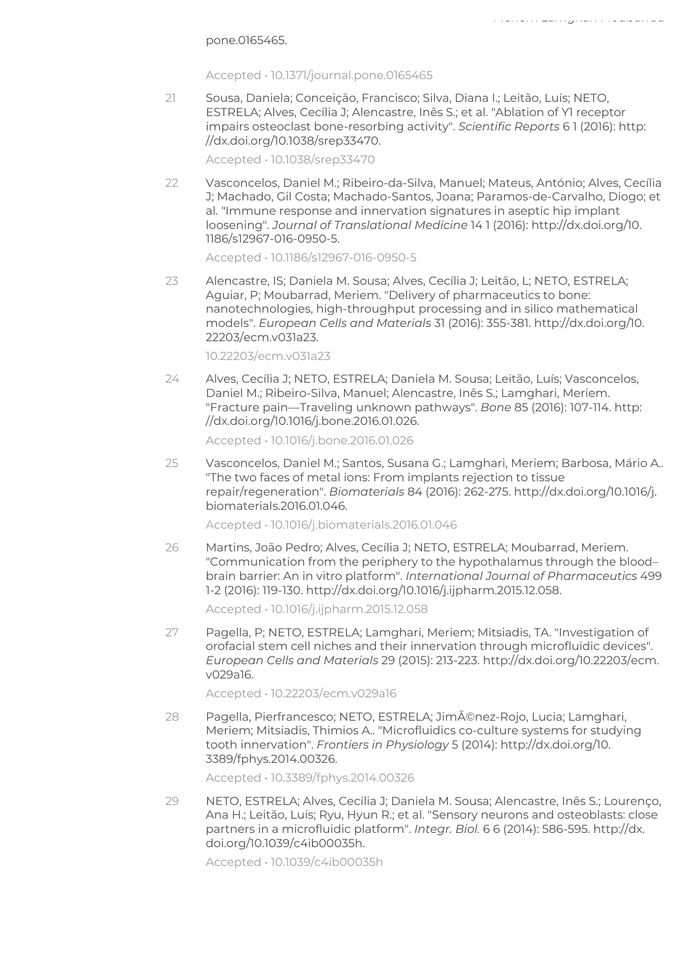Accepted • 10.1371/journal.pone.0165465

21 Sousa, Daniela; Conceição, Francisco; Silva, Diana I.; Leitão, Luís; NETO, ESTRELA; Alves, Cecília J; Alencastre, Inês S.; et al. "Ablation of Y1 receptor impairs osteoclast bone-resorbing activity". Scientific Reports 6 1 (2016): http: //dx.doi.org/10.1038/srep33470.

Meriem Lamghari Moubarrad

Accepted • 10.1038/srep33470

22 Vasconcelos, Daniel M.; Ribeiro-da-Silva, Manuel; Mateus, António; Alves, Cecília J; Machado, Gil Costa; Machado-Santos, Joana; Paramos-de-Carvalho, Diogo; et al. "Immune response and innervation signatures in aseptic hip implant loosening". Journal of Translational Medicine 14 1 (2016): http://dx.doi.org/10. 1186/s12967-016-0950-5.

Accepted • 10.1186/s12967-016-0950-5

23 Alencastre, IS; Daniela M. Sousa; Alves, Cecília J; Leitão, L; NETO, ESTRELA; Aguiar, P; Moubarrad, Meriem. "Delivery of pharmaceutics to bone: nanotechnologies, high-throughput processing and in silico mathematical models". European Cells and Materials 31 (2016): 355-381. http://dx.doi.org/10. 22203/ecm.v031a23.

10.22203/ecm.v031a23

24 Alves, Cecília J; NETO, ESTRELA; Daniela M. Sousa; Leitão, Luís; Vasconcelos, Daniel M.; Ribeiro-Silva, Manuel; Alencastre, Inês S.; Lamghari, Meriem. "Fracture pain—Traveling unknown pathways". Bone 85 (2016): 107-114. http: //dx.doi.org/10.1016/j.bone.2016.01.026.

Accepted • 10.1016/j.bone.2016.01.026

25 Vasconcelos, Daniel M.; Santos, Susana G.; Lamghari, Meriem; Barbosa, Mário A.. "The two faces of metal ions: From implants rejection to tissue repair/regeneration". Biomaterials 84 (2016): 262-275. http://dx.doi.org/10.1016/j. biomaterials.2016.01.046.

Accepted • 10.1016/j.biomaterials.2016.01.046

26 Martins, João Pedro; Alves, Cecília J; NETO, ESTRELA; Moubarrad, Meriem. "Communication from the periphery to the hypothalamus through the blood– brain barrier: An in vitro platform". International Journal of Pharmaceutics 499 1-2 (2016): 119-130. http://dx.doi.org/10.1016/j.ijpharm.2015.12.058.

Accepted • 10.1016/j.ijpharm.2015.12.058

27 Pagella, P; NETO, ESTRELA; Lamghari, Meriem; Mitsiadis, TA. "Investigation of orofacial stem cell niches and their innervation through microfluidic devices". European Cells and Materials 29 (2015): 213-223. http://dx.doi.org/10.22203/ecm. v029a16.

Accepted • 10.22203/ecm.v029a16

28 Pagella, Pierfrancesco; NETO, ESTRELA; Jiménez-Rojo, Lucia; Lamghari, Meriem; Mitsiadis, Thimios A.. "Microfluidics co-culture systems for studying tooth innervation". Frontiers in Physiology 5 (2014): http://dx.doi.org/10. 3389/fphys.2014.00326.

Accepted • 10.3389/fphys.2014.00326

29 NETO, ESTRELA; Alves, Cecília J; Daniela M. Sousa; Alencastre, Inês S.; Lourenço, Ana H.; Leitão, Luís; Ryu, Hyun R.; et al. "Sensory neurons and osteoblasts: close partners in a microfluidic platform". Integr. Biol. 6 6 (2014): 586-595. http://dx. doi.org/10.1039/c4ib00035h.

Accepted • 10.1039/c4ib00035h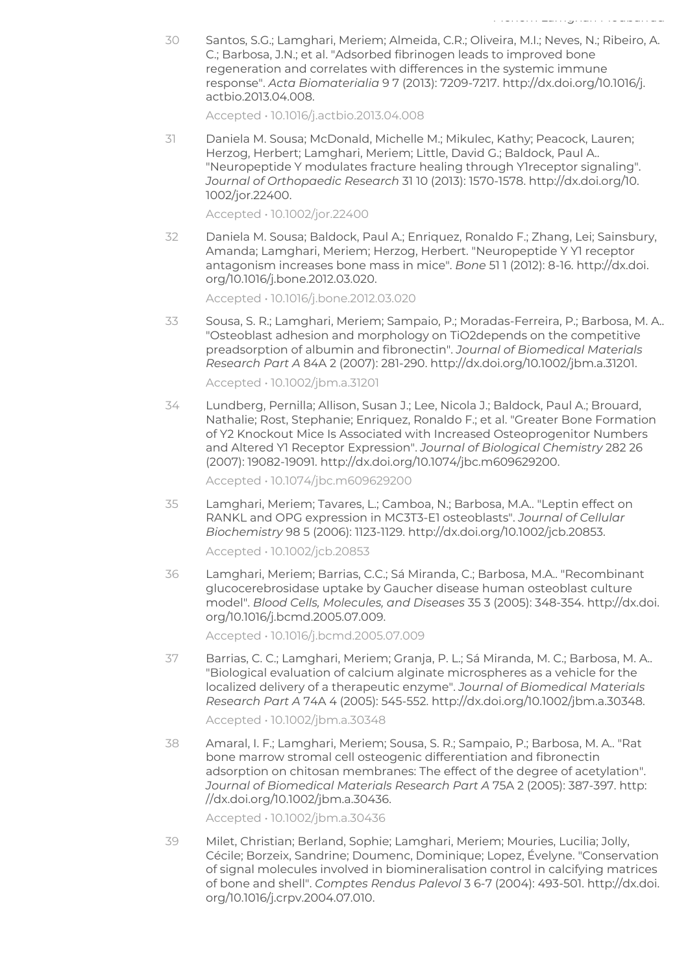30 Santos, S.G.; Lamghari, Meriem; Almeida, C.R.; Oliveira, M.I.; Neves, N.; Ribeiro, A. C.; Barbosa, J.N.; et al. "Adsorbed fibrinogen leads to improved bone regeneration and correlates with differences in the systemic immune response". Acta Biomaterialia 9 7 (2013): 7209-7217. http://dx.doi.org/10.1016/j. actbio.2013.04.008.

Accepted • 10.1016/j.actbio.2013.04.008

31 Daniela M. Sousa; McDonald, Michelle M.; Mikulec, Kathy; Peacock, Lauren; Herzog, Herbert; Lamghari, Meriem; Little, David G.; Baldock, Paul A.. "Neuropeptide Y modulates fracture healing through Y1receptor signaling". Journal of Orthopaedic Research 31 10 (2013): 1570-1578. http://dx.doi.org/10. 1002/jor.22400.

Accepted • 10.1002/jor.22400

32 Daniela M. Sousa; Baldock, Paul A.; Enriquez, Ronaldo F.; Zhang, Lei; Sainsbury, Amanda; Lamghari, Meriem; Herzog, Herbert. "Neuropeptide Y Y1 receptor antagonism increases bone mass in mice". Bone 51 1 (2012): 8-16. http://dx.doi. org/10.1016/j.bone.2012.03.020.

Accepted • 10.1016/j.bone.2012.03.020

33 Sousa, S. R.; Lamghari, Meriem; Sampaio, P.; Moradas-Ferreira, P.; Barbosa, M. A.. "Osteoblast adhesion and morphology on TiO2depends on the competitive preadsorption of albumin and fibronectin". Journal of Biomedical Materials Research Part A 84A 2 (2007): 281-290. http://dx.doi.org/10.1002/jbm.a.31201.

Accepted • 10.1002/jbm.a.31201

34 Lundberg, Pernilla; Allison, Susan J.; Lee, Nicola J.; Baldock, Paul A.; Brouard, Nathalie; Rost, Stephanie; Enriquez, Ronaldo F.; et al. "Greater Bone Formation of Y2 Knockout Mice Is Associated with Increased Osteoprogenitor Numbers and Altered Y1 Receptor Expression". Journal of Biological Chemistry 282 26 (2007): 19082-19091. http://dx.doi.org/10.1074/jbc.m609629200.

Accepted • 10.1074/jbc.m609629200

35 Lamghari, Meriem; Tavares, L.; Camboa, N.; Barbosa, M.A.. "Leptin effect on RANKL and OPG expression in MC3T3-E1 osteoblasts". Journal of Cellular Biochemistry 98 5 (2006): 1123-1129. http://dx.doi.org/10.1002/jcb.20853.

Accepted • 10.1002/jcb.20853

36 Lamghari, Meriem; Barrias, C.C.; Sá Miranda, C.; Barbosa, M.A.. "Recombinant glucocerebrosidase uptake by Gaucher disease human osteoblast culture model". Blood Cells, Molecules, and Diseases 35 3 (2005): 348-354. http://dx.doi. org/10.1016/j.bcmd.2005.07.009.

Accepted • 10.1016/j.bcmd.2005.07.009

37 Barrias, C. C.; Lamghari, Meriem; Granja, P. L.; Sá Miranda, M. C.; Barbosa, M. A.. "Biological evaluation of calcium alginate microspheres as a vehicle for the localized delivery of a therapeutic enzyme". Journal of Biomedical Materials Research Part A 74A 4 (2005): 545-552. http://dx.doi.org/10.1002/jbm.a.30348.

Accepted • 10.1002/jbm.a.30348

38 Amaral, I. F.; Lamghari, Meriem; Sousa, S. R.; Sampaio, P.; Barbosa, M. A.. "Rat bone marrow stromal cell osteogenic differentiation and fibronectin adsorption on chitosan membranes: The effect of the degree of acetylation". Journal of Biomedical Materials Research Part A 75A 2 (2005): 387-397. http: //dx.doi.org/10.1002/jbm.a.30436.

Accepted • 10.1002/jbm.a.30436

39 Milet, Christian; Berland, Sophie; Lamghari, Meriem; Mouries, Lucilia; Jolly, Cécile; Borzeix, Sandrine; Doumenc, Dominique; Lopez, Évelyne. "Conservation of signal molecules involved in biomineralisation control in calcifying matrices of bone and shell". Comptes Rendus Palevol 3 6-7 (2004): 493-501. http://dx.doi. org/10.1016/j.crpv.2004.07.010.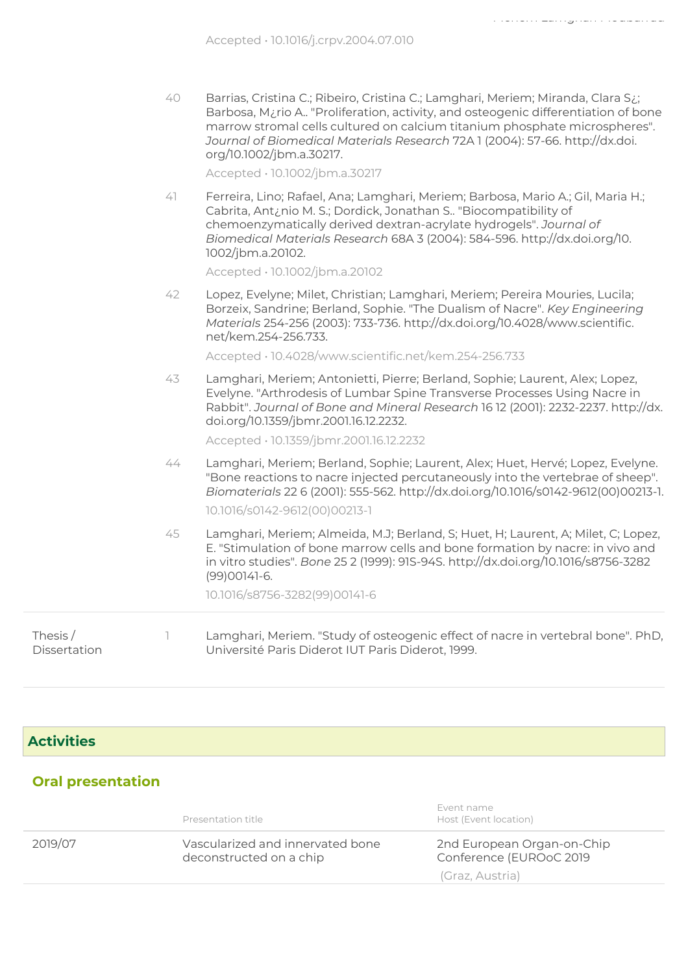| 40 | Barrias, Cristina C.; Ribeiro, Cristina C.; Lamghari, Meriem; Miranda, Clara S.;               |
|----|------------------------------------------------------------------------------------------------|
|    | Barbosa, M <sub>i</sub> rio A "Proliferation, activity, and osteogenic differentiation of bone |
|    | marrow stromal cells cultured on calcium titanium phosphate microspheres".                     |
|    | Journal of Biomedical Materials Research 72A 1 (2004): 57-66. http://dx.doi.                   |
|    | org/10.1002/jbm.a.30217.                                                                       |

Accepted • 10.1002/jbm.a.30217

41 Ferreira, Lino; Rafael, Ana; Lamghari, Meriem; Barbosa, Mario A.; Gil, Maria H.; Cabrita, Ant¿nio M. S.; Dordick, Jonathan S.. "Biocompatibility of chemoenzymatically derived dextran-acrylate hydrogels". Journal of Biomedical Materials Research 68A 3 (2004): 584-596. http://dx.doi.org/10. 1002/jbm.a.20102.

Accepted • 10.1002/jbm.a.20102

42 Lopez, Evelyne; Milet, Christian; Lamghari, Meriem; Pereira Mouries, Lucila; Borzeix, Sandrine; Berland, Sophie. "The Dualism of Nacre". Key Engineering Materials 254-256 (2003): 733-736. http://dx.doi.org/10.4028/www.scientific. net/kem.254-256.733.

Accepted • 10.4028/www.scientific.net/kem.254-256.733

43 Lamghari, Meriem; Antonietti, Pierre; Berland, Sophie; Laurent, Alex; Lopez, Evelyne. "Arthrodesis of Lumbar Spine Transverse Processes Using Nacre in Rabbit". Journal of Bone and Mineral Research 16 12 (2001): 2232-2237. http://dx. doi.org/10.1359/jbmr.2001.16.12.2232.

Accepted • 10.1359/jbmr.2001.16.12.2232

44 Lamghari, Meriem; Berland, Sophie; Laurent, Alex; Huet, Hervé; Lopez, Evelyne. "Bone reactions to nacre injected percutaneously into the vertebrae of sheep". Biomaterials 22 6 (2001): 555-562. http://dx.doi.org/10.1016/s0142-9612(00)00213-1.

10.1016/s0142-9612(00)00213-1

45 Lamghari, Meriem; Almeida, M.J; Berland, S; Huet, H; Laurent, A; Milet, C; Lopez, E. "Stimulation of bone marrow cells and bone formation by nacre: in vivo and in vitro studies". Bone 25 2 (1999): 91S-94S. http://dx.doi.org/10.1016/s8756-3282 (99)00141-6.

10.1016/s8756-3282(99)00141-6

Thesis / Dissertation 1 Lamghari, Meriem. "Study of osteogenic effect of nacre in vertebral bone". PhD, Université Paris Diderot IUT Paris Diderot, 1999.

#### **Activities**

#### Oral presentation

|         | Presentation title                                          | Event name<br>Host (Event location)                   |
|---------|-------------------------------------------------------------|-------------------------------------------------------|
| 2019/07 | Vascularized and innervated bone<br>deconstructed on a chip | 2nd European Organ-on-Chip<br>Conference (EUROoC 2019 |
|         |                                                             | (Graz, Austria)                                       |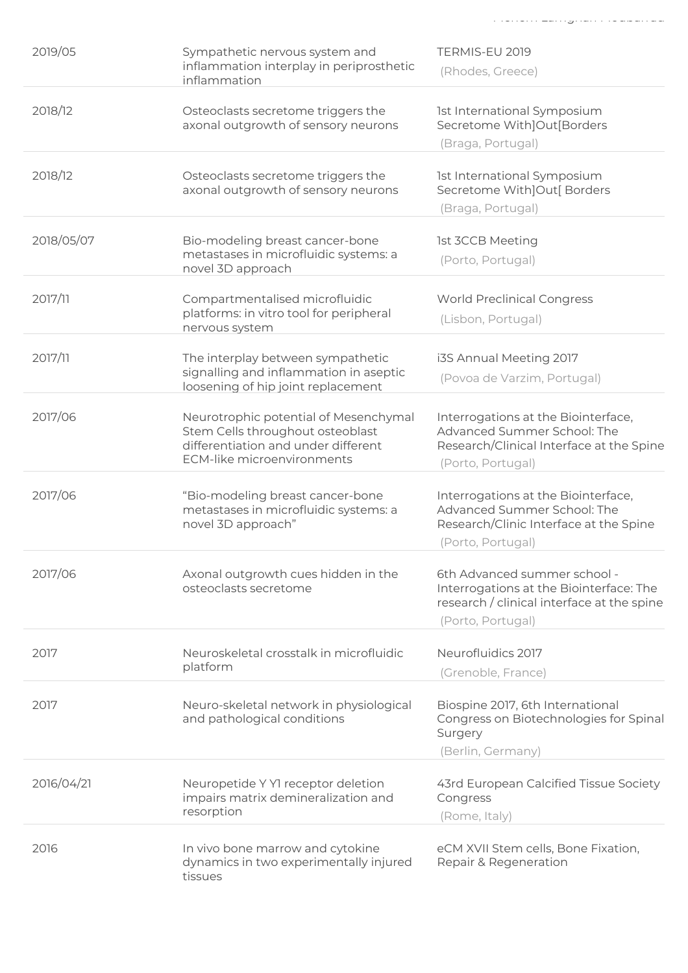| 2019/05    | Sympathetic nervous system and<br>inflammation interplay in periprosthetic<br>inflammation                                                     | TERMIS-EU 2019<br>(Rhodes, Greece)                                                                                                         |
|------------|------------------------------------------------------------------------------------------------------------------------------------------------|--------------------------------------------------------------------------------------------------------------------------------------------|
| 2018/12    | Osteoclasts secretome triggers the<br>axonal outgrowth of sensory neurons                                                                      | 1st International Symposium<br>Secretome With]Out[Borders<br>(Braga, Portugal)                                                             |
| 2018/12    | Osteoclasts secretome triggers the<br>axonal outgrowth of sensory neurons                                                                      | 1st International Symposium<br>Secretome With]Out[ Borders<br>(Braga, Portugal)                                                            |
| 2018/05/07 | Bio-modeling breast cancer-bone<br>metastases in microfluidic systems: a<br>novel 3D approach                                                  | <b>1st 3CCB Meeting</b><br>(Porto, Portugal)                                                                                               |
| 2017/11    | Compartmentalised microfluidic<br>platforms: in vitro tool for peripheral<br>nervous system                                                    | <b>World Preclinical Congress</b><br>(Lisbon, Portugal)                                                                                    |
| 2017/11    | The interplay between sympathetic<br>signalling and inflammation in aseptic<br>loosening of hip joint replacement                              | i3S Annual Meeting 2017<br>(Povoa de Varzim, Portugal)                                                                                     |
| 2017/06    | Neurotrophic potential of Mesenchymal<br>Stem Cells throughout osteoblast<br>differentiation and under different<br>ECM-like microenvironments | Interrogations at the Biointerface,<br>Advanced Summer School: The<br>Research/Clinical Interface at the Spine<br>(Porto, Portugal)        |
| 2017/06    | "Bio-modeling breast cancer-bone<br>metastases in microfluidic systems: a<br>novel 3D approach"                                                | Interrogations at the Biointerface,<br>Advanced Summer School: The<br>Research/Clinic Interface at the Spine<br>(Porto, Portugal)          |
| 2017/06    | Axonal outgrowth cues hidden in the<br>osteoclasts secretome                                                                                   | 6th Advanced summer school -<br>Interrogations at the Biointerface: The<br>research / clinical interface at the spine<br>(Porto, Portugal) |
| 2017       | Neuroskeletal crosstalk in microfluidic<br>platform                                                                                            | Neurofluidics 2017<br>(Grenoble, France)                                                                                                   |
| 2017       | Neuro-skeletal network in physiological<br>and pathological conditions                                                                         | Biospine 2017, 6th International<br>Congress on Biotechnologies for Spinal<br>Surgery<br>(Berlin, Germany)                                 |
| 2016/04/21 | Neuropetide Y Y1 receptor deletion<br>impairs matrix demineralization and<br>resorption                                                        | 43rd European Calcified Tissue Society<br>Congress<br>(Rome, Italy)                                                                        |
| 2016       | In vivo bone marrow and cytokine<br>dynamics in two experimentally injured<br>tissues                                                          | eCM XVII Stem cells, Bone Fixation,<br>Repair & Regeneration                                                                               |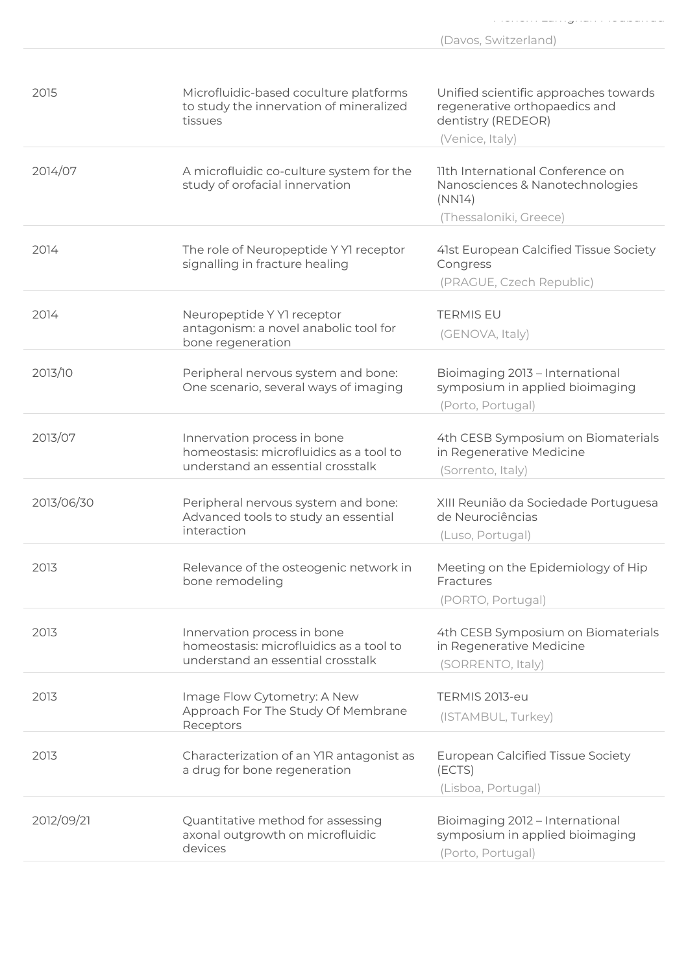|            |                                                                                                             | (Davos, Switzerland)                                                                                            |
|------------|-------------------------------------------------------------------------------------------------------------|-----------------------------------------------------------------------------------------------------------------|
|            |                                                                                                             |                                                                                                                 |
| 2015       | Microfluidic-based coculture platforms<br>to study the innervation of mineralized<br>tissues                | Unified scientific approaches towards<br>regenerative orthopaedics and<br>dentistry (REDEOR)<br>(Venice, Italy) |
| 2014/07    | A microfluidic co-culture system for the<br>study of orofacial innervation                                  | 11th International Conference on<br>Nanosciences & Nanotechnologies<br>(NN14)<br>(Thessaloniki, Greece)         |
|            |                                                                                                             |                                                                                                                 |
| 2014       | The role of Neuropeptide Y Y1 receptor<br>signalling in fracture healing                                    | 41st European Calcified Tissue Society<br>Congress<br>(PRAGUE, Czech Republic)                                  |
|            |                                                                                                             |                                                                                                                 |
| 2014       | Neuropeptide Y Y1 receptor<br>antagonism: a novel anabolic tool for<br>bone regeneration                    | <b>TERMIS EU</b><br>(GENOVA, Italy)                                                                             |
| 2013/10    | Peripheral nervous system and bone:<br>One scenario, several ways of imaging                                | Bioimaging 2013 - International<br>symposium in applied bioimaging<br>(Porto, Portugal)                         |
| 2013/07    | Innervation process in bone<br>homeostasis: microfluidics as a tool to<br>understand an essential crosstalk | 4th CESB Symposium on Biomaterials<br>in Regenerative Medicine<br>(Sorrento, Italy)                             |
| 2013/06/30 | Peripheral nervous system and bone:<br>Advanced tools to study an essential<br>interaction                  | XIII Reunião da Sociedade Portuguesa<br>de Neurociências<br>(Luso, Portugal)                                    |
| 2013       | Relevance of the osteogenic network in<br>bone remodeling                                                   | Meeting on the Epidemiology of Hip<br>Fractures<br>(PORTO, Portugal)                                            |
| 2013       | Innervation process in bone<br>homeostasis: microfluidics as a tool to<br>understand an essential crosstalk | 4th CESB Symposium on Biomaterials<br>in Regenerative Medicine<br>(SORRENTO, Italy)                             |
| 2013       | Image Flow Cytometry: A New<br>Approach For The Study Of Membrane<br>Receptors                              | TERMIS 2013-eu<br>(ISTAMBUL, Turkey)                                                                            |

|            | NUUPLUIJ                                                                         |                                                                                         |
|------------|----------------------------------------------------------------------------------|-----------------------------------------------------------------------------------------|
| 2013       | Characterization of an YIR antagonist as<br>a drug for bone regeneration         | <b>European Calcified Tissue Society</b><br>(ECTS)<br>(Lisboa, Portugal)                |
| 2012/09/21 | Quantitative method for assessing<br>axonal outgrowth on microfluidic<br>devices | Bioimaging 2012 - International<br>symposium in applied bioimaging<br>(Porto, Portugal) |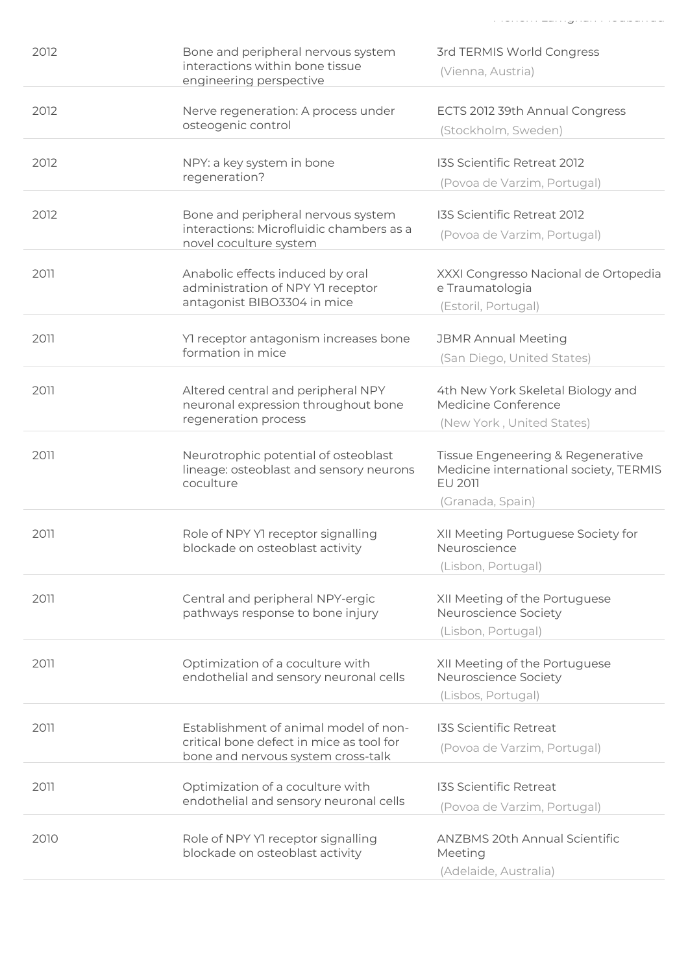| 2012 | Bone and peripheral nervous system<br>interactions within bone tissue<br>engineering perspective                        | 3rd TERMIS World Congress<br>(Vienna, Austria)                                                    |
|------|-------------------------------------------------------------------------------------------------------------------------|---------------------------------------------------------------------------------------------------|
| 2012 | Nerve regeneration: A process under<br>osteogenic control                                                               | ECTS 2012 39th Annual Congress<br>(Stockholm, Sweden)                                             |
| 2012 | NPY: a key system in bone<br>regeneration?                                                                              | I3S Scientific Retreat 2012<br>(Povoa de Varzim, Portugal)                                        |
| 2012 | Bone and peripheral nervous system<br>interactions: Microfluidic chambers as a<br>novel coculture system                | I3S Scientific Retreat 2012<br>(Povoa de Varzim, Portugal)                                        |
| 2011 | Anabolic effects induced by oral<br>administration of NPY Y1 receptor<br>antagonist BIBO3304 in mice                    | XXXI Congresso Nacional de Ortopedia<br>e Traumatologia<br>(Estoril, Portugal)                    |
| 2011 | Yl receptor antagonism increases bone<br>formation in mice                                                              | <b>JBMR Annual Meeting</b><br>(San Diego, United States)                                          |
| 2011 | Altered central and peripheral NPY<br>neuronal expression throughout bone<br>regeneration process                       | 4th New York Skeletal Biology and<br>Medicine Conference<br>(New York, United States)             |
| 2011 | Neurotrophic potential of osteoblast<br>lineage: osteoblast and sensory neurons<br>coculture                            | Tissue Engeneering & Regenerative<br>Medicine international society, TERMIS<br>EU 2011            |
| 2011 | Role of NPY Y1 receptor signalling<br>blockade on osteoblast activity                                                   | (Granada, Spain)<br>XII Meeting Portuguese Society for<br>Neuroscience                            |
| 2011 | Central and peripheral NPY-ergic<br>pathways response to bone injury                                                    | (Lisbon, Portugal)<br>XII Meeting of the Portuguese<br>Neuroscience Society<br>(Lisbon, Portugal) |
| 2011 | Optimization of a coculture with<br>endothelial and sensory neuronal cells                                              | XII Meeting of the Portuguese<br>Neuroscience Society<br>(Lisbos, Portugal)                       |
| 2011 | Establishment of animal model of non-<br>critical bone defect in mice as tool for<br>bone and nervous system cross-talk | <b>I3S Scientific Retreat</b><br>(Povoa de Varzim, Portugal)                                      |
| 2011 | Optimization of a coculture with<br>endothelial and sensory neuronal cells                                              | <b>I3S Scientific Retreat</b><br>(Povoa de Varzim, Portugal)                                      |
| 2010 | Role of NPY Y1 receptor signalling<br>blockade on osteoblast activity                                                   | <b>ANZBMS 20th Annual Scientific</b><br>Meeting<br>(Adelaide, Australia)                          |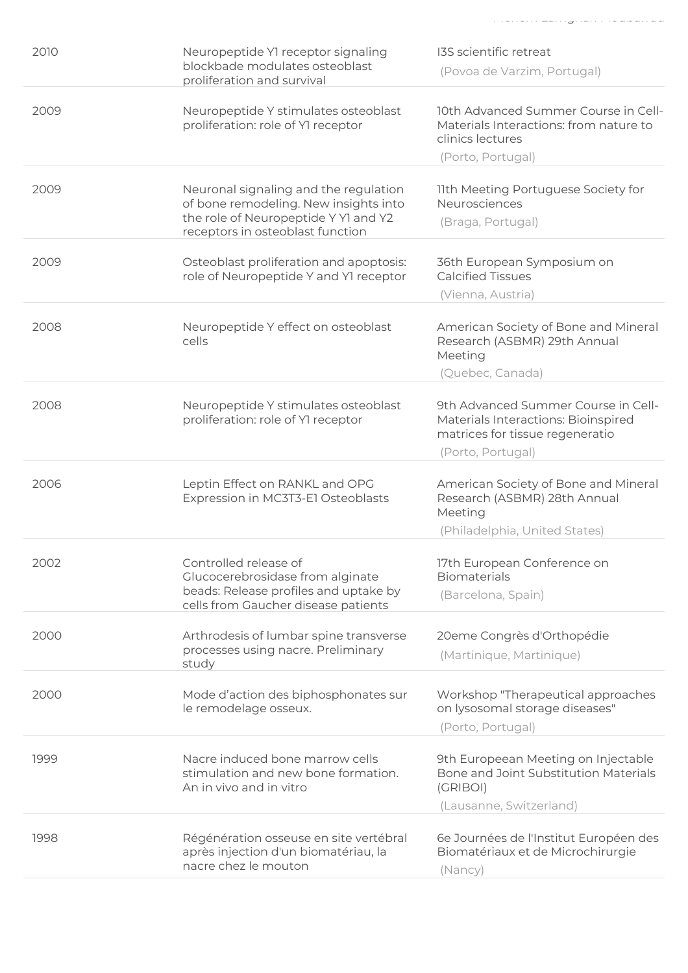| 2010 | Neuropeptide YI receptor signaling<br>blockbade modulates osteoblast<br>proliferation and survival                                                         | I3S scientific retreat<br>(Povoa de Varzim, Portugal)                                                                              |
|------|------------------------------------------------------------------------------------------------------------------------------------------------------------|------------------------------------------------------------------------------------------------------------------------------------|
| 2009 | Neuropeptide Y stimulates osteoblast<br>proliferation: role of Y1 receptor                                                                                 | 10th Advanced Summer Course in Cell-<br>Materials Interactions: from nature to<br>clinics lectures<br>(Porto, Portugal)            |
|      |                                                                                                                                                            |                                                                                                                                    |
| 2009 | Neuronal signaling and the regulation<br>of bone remodeling. New insights into<br>the role of Neuropeptide Y Y1 and Y2<br>receptors in osteoblast function | 11th Meeting Portuguese Society for<br>Neurosciences<br>(Braga, Portugal)                                                          |
| 2009 | Osteoblast proliferation and apoptosis:<br>role of Neuropeptide Y and YI receptor                                                                          | 36th European Symposium on<br><b>Calcified Tissues</b>                                                                             |
|      |                                                                                                                                                            | (Vienna, Austria)                                                                                                                  |
| 2008 | Neuropeptide Y effect on osteoblast<br>cells                                                                                                               | American Society of Bone and Mineral<br>Research (ASBMR) 29th Annual<br>Meeting                                                    |
|      |                                                                                                                                                            | (Quebec, Canada)                                                                                                                   |
| 2008 | Neuropeptide Y stimulates osteoblast<br>proliferation: role of Y1 receptor                                                                                 | 9th Advanced Summer Course in Cell-<br>Materials Interactions: Bioinspired<br>matrices for tissue regeneratio<br>(Porto, Portugal) |
|      |                                                                                                                                                            |                                                                                                                                    |
| 2006 | Leptin Effect on RANKL and OPG<br>Expression in MC3T3-E1 Osteoblasts                                                                                       | American Society of Bone and Mineral<br>Research (ASBMR) 28th Annual<br>Meeting                                                    |
|      |                                                                                                                                                            | (Philadelphia, United States)                                                                                                      |
| 2002 | Controlled release of<br>Glucocerebrosidase from alginate<br>beads: Release profiles and uptake by                                                         | 17th European Conference on<br><b>Biomaterials</b><br>(Barcelona, Spain)                                                           |
|      | cells from Gaucher disease patients                                                                                                                        |                                                                                                                                    |
| 2000 | Arthrodesis of lumbar spine transverse<br>processes using nacre. Preliminary<br>study                                                                      | 20eme Congrès d'Orthopédie<br>(Martinique, Martinique)                                                                             |
| 2000 | Mode d'action des biphosphonates sur<br>le remodelage osseux.                                                                                              | Workshop "Therapeutical approaches<br>on lysosomal storage diseases"<br>(Porto, Portugal)                                          |
| 1999 | Nacre induced bone marrow cells<br>stimulation and new bone formation.<br>An in vivo and in vitro                                                          | 9th Europeean Meeting on Injectable<br>Bone and Joint Substitution Materials<br>(GRIBOI)                                           |
|      |                                                                                                                                                            | (Lausanne, Switzerland)                                                                                                            |
| 1998 | Régénération osseuse en site vertébral<br>après injection d'un biomatériau, la<br>nacre chez le mouton                                                     | 6e Journées de l'Institut Européen des<br>Biomatériaux et de Microchirurgie<br>(Nancy)                                             |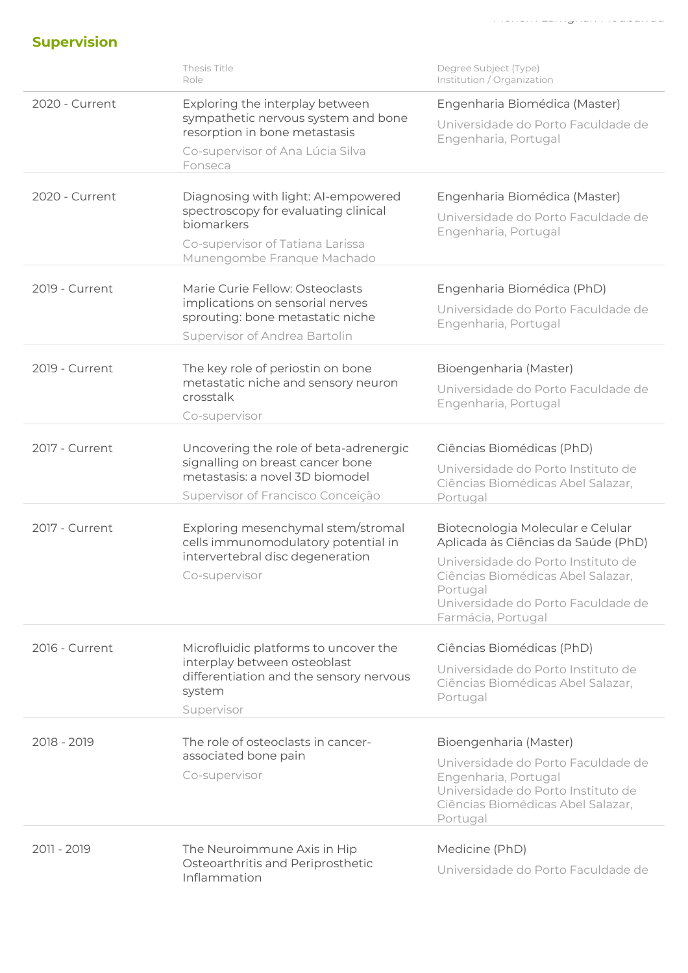## Supervision

|                | Thesis Title<br>Role                                                                                                                                        | Degree Subject (Type)<br>Institution / Organization                                                                                                                                                                         |
|----------------|-------------------------------------------------------------------------------------------------------------------------------------------------------------|-----------------------------------------------------------------------------------------------------------------------------------------------------------------------------------------------------------------------------|
| 2020 - Current | Exploring the interplay between<br>sympathetic nervous system and bone<br>resorption in bone metastasis<br>Co-supervisor of Ana Lúcia Silva<br>Fonseca      | Engenharia Biomédica (Master)<br>Universidade do Porto Faculdade de<br>Engenharia, Portugal                                                                                                                                 |
| 2020 - Current | Diagnosing with light: AI-empowered<br>spectroscopy for evaluating clinical<br>biomarkers<br>Co-supervisor of Tatiana Larissa<br>Munengombe Franque Machado | Engenharia Biomédica (Master)<br>Universidade do Porto Faculdade de<br>Engenharia, Portugal                                                                                                                                 |
| 2019 - Current | Marie Curie Fellow: Osteoclasts<br>implications on sensorial nerves<br>sprouting: bone metastatic niche<br>Supervisor of Andrea Bartolin                    | Engenharia Biomédica (PhD)<br>Universidade do Porto Faculdade de<br>Engenharia, Portugal                                                                                                                                    |
| 2019 - Current | The key role of periostin on bone<br>metastatic niche and sensory neuron<br>crosstalk<br>Co-supervisor                                                      | Bioengenharia (Master)<br>Universidade do Porto Faculdade de<br>Engenharia, Portugal                                                                                                                                        |
| 2017 - Current | Uncovering the role of beta-adrenergic<br>signalling on breast cancer bone<br>metastasis: a novel 3D biomodel<br>Supervisor of Francisco Conceição          | Ciências Biomédicas (PhD)<br>Universidade do Porto Instituto de<br>Ciências Biomédicas Abel Salazar,<br>Portugal                                                                                                            |
| 2017 - Current | Exploring mesenchymal stem/stromal<br>cells immunomodulatory potential in<br>intervertebral disc degeneration<br>Co-supervisor                              | Biotecnologia Molecular e Celular<br>Aplicada às Ciências da Saúde (PhD)<br>Universidade do Porto Instituto de<br>Ciências Biomédicas Abel Salazar,<br>Portugal<br>Universidade do Porto Faculdade de<br>Farmácia, Portugal |
| 2016 - Current | Microfluidic platforms to uncover the<br>interplay between osteoblast<br>differentiation and the sensory nervous<br>system<br>Supervisor                    | Ciências Biomédicas (PhD)<br>Universidade do Porto Instituto de<br>Ciências Biomédicas Abel Salazar,<br>Portugal                                                                                                            |
| 2018 - 2019    | The role of osteoclasts in cancer-<br>associated bone pain<br>Co-supervisor                                                                                 | Bioengenharia (Master)<br>Universidade do Porto Faculdade de<br>Engenharia, Portugal<br>Universidade do Porto Instituto de<br>Ciências Biomédicas Abel Salazar,<br>Portugal                                                 |
| 2011 - 2019    | The Neuroimmune Axis in Hip<br>Osteoarthritis and Periprosthetic<br>Inflammation                                                                            | Medicine (PhD)<br>Universidade do Porto Faculdade de                                                                                                                                                                        |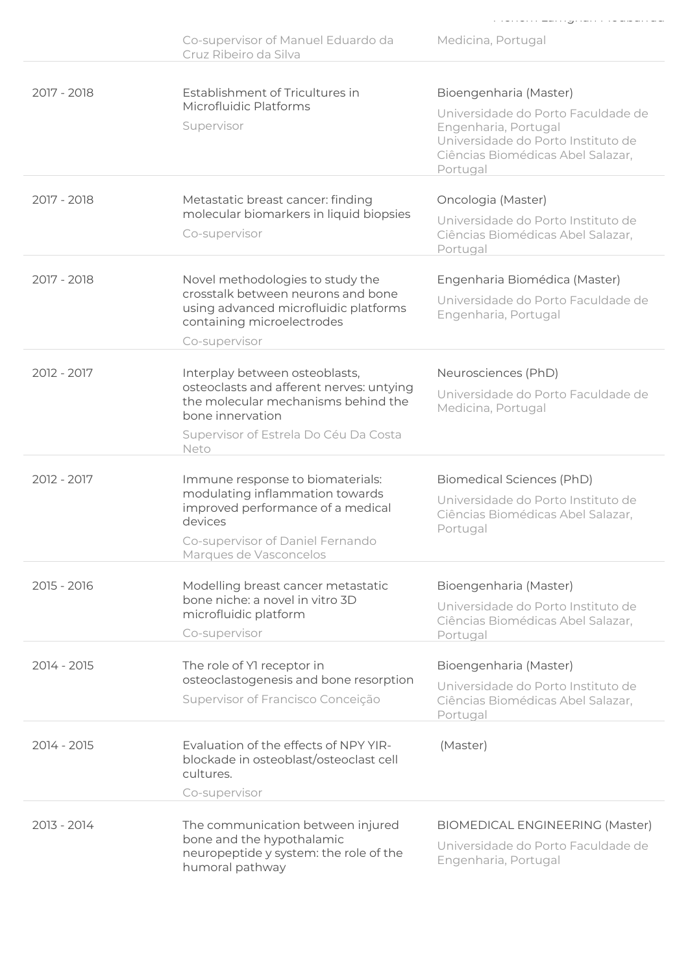|             | Co-supervisor of Manuel Eduardo da<br>Cruz Ribeiro da Silva                                                                                                                            | Medicina, Portugal                                                                                                                                                          |
|-------------|----------------------------------------------------------------------------------------------------------------------------------------------------------------------------------------|-----------------------------------------------------------------------------------------------------------------------------------------------------------------------------|
| 2017 - 2018 | Establishment of Tricultures in<br>Microfluidic Platforms<br>Supervisor                                                                                                                | Bioengenharia (Master)<br>Universidade do Porto Faculdade de<br>Engenharia, Portugal<br>Universidade do Porto Instituto de<br>Ciências Biomédicas Abel Salazar,<br>Portugal |
| 2017 - 2018 | Metastatic breast cancer: finding<br>molecular biomarkers in liquid biopsies<br>Co-supervisor                                                                                          | Oncologia (Master)<br>Universidade do Porto Instituto de<br>Ciências Biomédicas Abel Salazar,<br>Portugal                                                                   |
| 2017 - 2018 | Novel methodologies to study the<br>crosstalk between neurons and bone<br>using advanced microfluidic platforms<br>containing microelectrodes<br>Co-supervisor                         | Engenharia Biomédica (Master)<br>Universidade do Porto Faculdade de<br>Engenharia, Portugal                                                                                 |
| 2012 - 2017 | Interplay between osteoblasts,<br>osteoclasts and afferent nerves: untying<br>the molecular mechanisms behind the<br>bone innervation<br>Supervisor of Estrela Do Céu Da Costa<br>Neto | Neurosciences (PhD)<br>Universidade do Porto Faculdade de<br>Medicina, Portugal                                                                                             |
| 2012 - 2017 | Immune response to biomaterials:<br>modulating inflammation towards<br>improved performance of a medical<br>devices<br>Co-supervisor of Daniel Fernando<br>Marques de Vasconcelos      | Biomedical Sciences (PhD)<br>Universidade do Porto Instituto de<br>Ciências Biomédicas Abel Salazar,<br>Portugal                                                            |
| 2015 - 2016 | Modelling breast cancer metastatic<br>bone niche: a novel in vitro 3D<br>microfluidic platform<br>Co-supervisor                                                                        | Bioengenharia (Master)<br>Universidade do Porto Instituto de<br>Ciências Biomédicas Abel Salazar,<br>Portugal                                                               |
| 2014 - 2015 | The role of YI receptor in<br>osteoclastogenesis and bone resorption<br>Supervisor of Francisco Conceição                                                                              | Bioengenharia (Master)<br>Universidade do Porto Instituto de<br>Ciências Biomédicas Abel Salazar,<br>Portugal                                                               |
| 2014 - 2015 | Evaluation of the effects of NPY YIR-<br>blockade in osteoblast/osteoclast cell<br>cultures.<br>Co-supervisor                                                                          | (Master)                                                                                                                                                                    |
| 2013 - 2014 | The communication between injured<br>bone and the hypothalamic<br>neuropeptide y system: the role of the<br>humoral pathway                                                            | <b>BIOMEDICAL ENGINEERING (Master)</b><br>Universidade do Porto Faculdade de<br>Engenharia, Portugal                                                                        |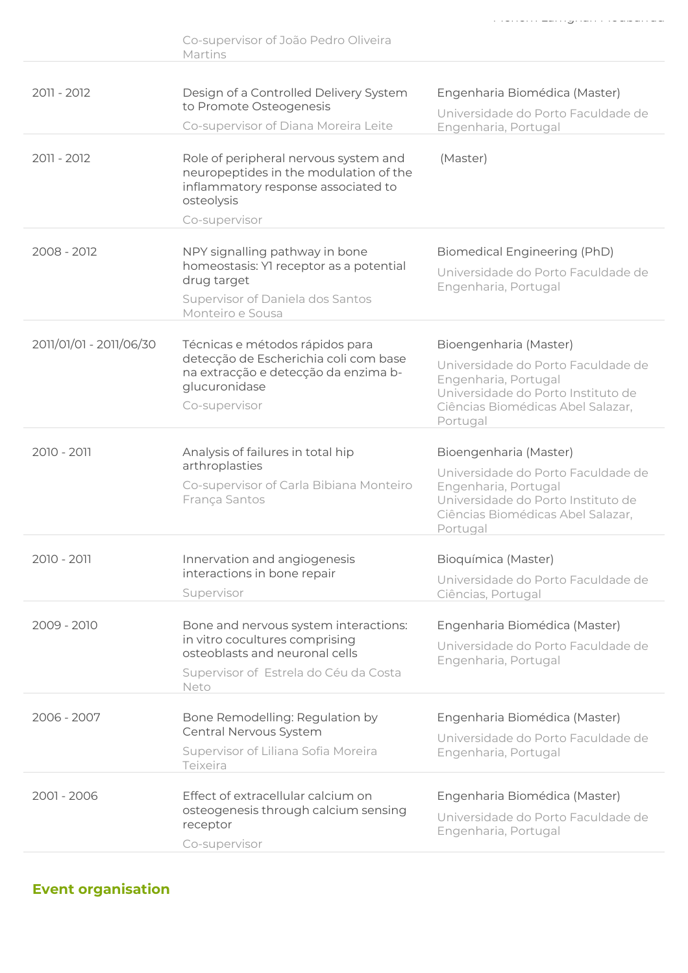|                         | Co-supervisor of João Pedro Oliveira<br>Martins                                                                                                            |                                                                                                                                                                             |
|-------------------------|------------------------------------------------------------------------------------------------------------------------------------------------------------|-----------------------------------------------------------------------------------------------------------------------------------------------------------------------------|
| 2011 - 2012             | Design of a Controlled Delivery System<br>to Promote Osteogenesis<br>Co-supervisor of Diana Moreira Leite                                                  | Engenharia Biomédica (Master)<br>Universidade do Porto Faculdade de<br>Engenharia, Portugal                                                                                 |
| 2011 - 2012             | Role of peripheral nervous system and<br>neuropeptides in the modulation of the<br>inflammatory response associated to<br>osteolysis<br>Co-supervisor      | (Master)                                                                                                                                                                    |
| 2008 - 2012             | NPY signalling pathway in bone<br>homeostasis: Yl receptor as a potential<br>drug target<br>Supervisor of Daniela dos Santos<br>Monteiro e Sousa           | <b>Biomedical Engineering (PhD)</b><br>Universidade do Porto Faculdade de<br>Engenharia, Portugal                                                                           |
| 2011/01/01 - 2011/06/30 | Técnicas e métodos rápidos para<br>detecção de Escherichia coli com base<br>na extracção e detecção da enzima b-<br>glucuronidase<br>Co-supervisor         | Bioengenharia (Master)<br>Universidade do Porto Faculdade de<br>Engenharia, Portugal<br>Universidade do Porto Instituto de<br>Ciências Biomédicas Abel Salazar,<br>Portugal |
| 2010 - 2011             | Analysis of failures in total hip<br>arthroplasties<br>Co-supervisor of Carla Bibiana Monteiro<br>França Santos                                            | Bioengenharia (Master)<br>Universidade do Porto Faculdade de<br>Engenharia, Portugal<br>Universidade do Porto Instituto de<br>Ciências Biomédicas Abel Salazar,<br>Portugal |
| 2010 - 2011             | Innervation and angiogenesis<br>interactions in bone repair<br>Supervisor                                                                                  | Bioquímica (Master)<br>Universidade do Porto Faculdade de<br>Ciências, Portugal                                                                                             |
| 2009 - 2010             | Bone and nervous system interactions:<br>in vitro cocultures comprising<br>osteoblasts and neuronal cells<br>Supervisor of Estrela do Céu da Costa<br>Neto | Engenharia Biomédica (Master)<br>Universidade do Porto Faculdade de<br>Engenharia, Portugal                                                                                 |
| 2006 - 2007             | Bone Remodelling: Regulation by<br>Central Nervous System<br>Supervisor of Liliana Sofia Moreira<br>Teixeira                                               | Engenharia Biomédica (Master)<br>Universidade do Porto Faculdade de<br>Engenharia, Portugal                                                                                 |
| 2001 - 2006             | Effect of extracellular calcium on<br>osteogenesis through calcium sensing<br>receptor<br>Co-supervisor                                                    | Engenharia Biomédica (Master)<br>Universidade do Porto Faculdade de<br>Engenharia, Portugal                                                                                 |

### Event organisation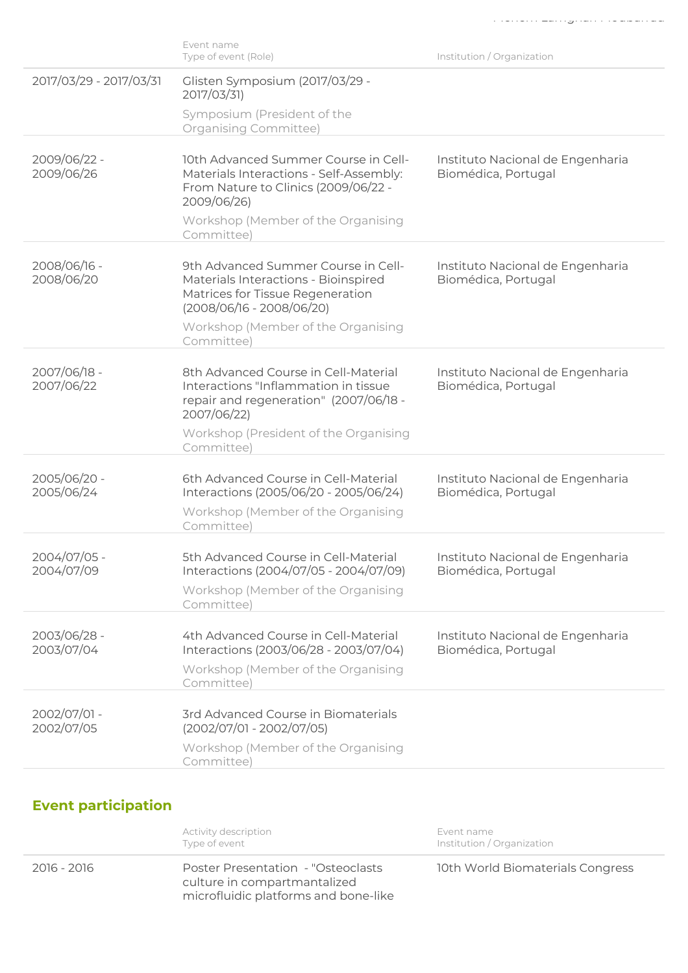|                            | Type of event (Role)                                                                                                                           | Institution / Organization                              |
|----------------------------|------------------------------------------------------------------------------------------------------------------------------------------------|---------------------------------------------------------|
| 2017/03/29 - 2017/03/31    | Glisten Symposium (2017/03/29 -<br>2017/03/31)                                                                                                 |                                                         |
|                            | Symposium (President of the<br>Organising Committee)                                                                                           |                                                         |
| 2009/06/22 -<br>2009/06/26 | 10th Advanced Summer Course in Cell-<br>Materials Interactions - Self-Assembly:<br>From Nature to Clinics (2009/06/22 -<br>2009/06/26)         | Instituto Nacional de Engenharia<br>Biomédica, Portugal |
|                            | Workshop (Member of the Organising<br>Committee)                                                                                               |                                                         |
| 2008/06/16 -<br>2008/06/20 | 9th Advanced Summer Course in Cell-<br>Materials Interactions - Bioinspired<br>Matrices for Tissue Regeneration<br>$(2008/06/16 - 2008/06/20)$ | Instituto Nacional de Engenharia<br>Biomédica, Portugal |
|                            | Workshop (Member of the Organising<br>Committee)                                                                                               |                                                         |
| 2007/06/18 -<br>2007/06/22 | 8th Advanced Course in Cell-Material<br>Interactions "Inflammation in tissue<br>repair and regeneration" (2007/06/18 -<br>2007/06/22)          | Instituto Nacional de Engenharia<br>Biomédica, Portugal |
|                            | Workshop (President of the Organising<br>Committee)                                                                                            |                                                         |
| 2005/06/20 -<br>2005/06/24 | 6th Advanced Course in Cell-Material<br>Interactions (2005/06/20 - 2005/06/24)<br>Workshop (Member of the Organising<br>Committee)             | Instituto Nacional de Engenharia<br>Biomédica, Portugal |
| 2004/07/05 -<br>2004/07/09 | 5th Advanced Course in Cell-Material<br>Interactions (2004/07/05 - 2004/07/09)<br>Workshop (Member of the Organising<br>Committee)             | Instituto Nacional de Engenharia<br>Biomédica, Portugal |
| 2003/06/28 -<br>2003/07/04 | 4th Advanced Course in Cell-Material<br>Interactions (2003/06/28 - 2003/07/04)<br>Workshop (Member of the Organising<br>Committee)             | Instituto Nacional de Engenharia<br>Biomédica, Portugal |
| 2002/07/01 -<br>2002/07/05 | 3rd Advanced Course in Biomaterials<br>$(2002/07/01 - 2002/07/05)$                                                                             |                                                         |
|                            | Workshop (Member of the Organising<br>Committee)                                                                                               |                                                         |
|                            |                                                                                                                                                |                                                         |

Event name

# Event participation

|             | Activity description<br>Type of event                                                                      | Event name<br>Institution / Organization |
|-------------|------------------------------------------------------------------------------------------------------------|------------------------------------------|
| 2016 - 2016 | Poster Presentation - "Osteoclasts<br>culture in compartmantalized<br>microfluidic platforms and bone-like | 10th World Biomaterials Congress         |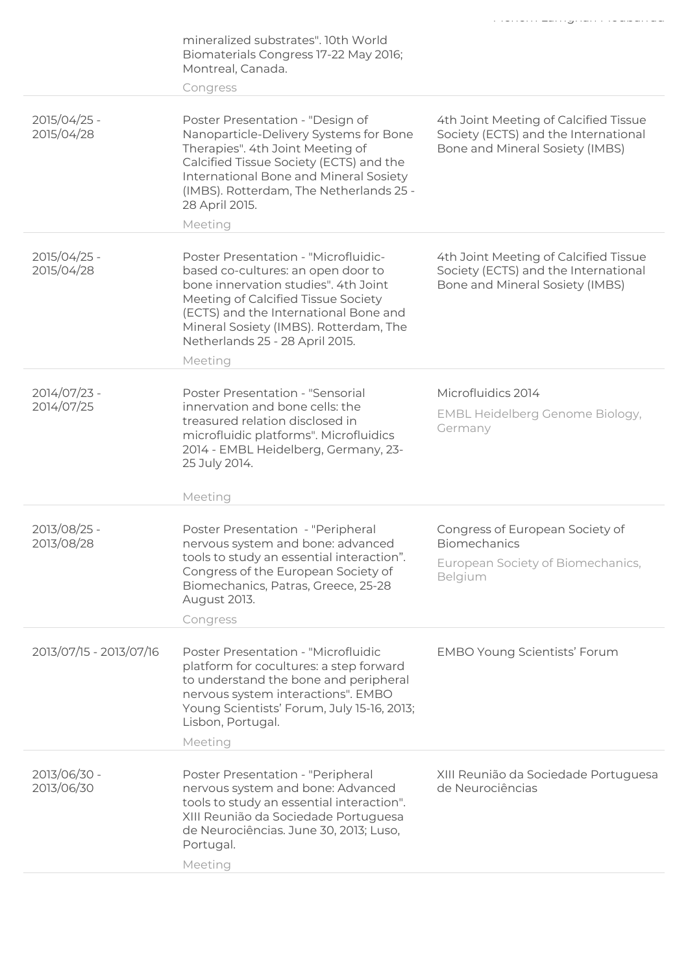|                            |                                                                                                                                                                                                                                                                                            | المساوي والمستقل مستورد والمستنبذ والمستنبذ والمستورد والمستورد والمستنبذ                                        |
|----------------------------|--------------------------------------------------------------------------------------------------------------------------------------------------------------------------------------------------------------------------------------------------------------------------------------------|------------------------------------------------------------------------------------------------------------------|
|                            | mineralized substrates". 10th World<br>Biomaterials Congress 17-22 May 2016;<br>Montreal, Canada.<br>Congress                                                                                                                                                                              |                                                                                                                  |
|                            |                                                                                                                                                                                                                                                                                            |                                                                                                                  |
| 2015/04/25 -<br>2015/04/28 | Poster Presentation - "Design of<br>Nanoparticle-Delivery Systems for Bone<br>Therapies". 4th Joint Meeting of<br>Calcified Tissue Society (ECTS) and the<br>International Bone and Mineral Sosiety<br>(IMBS). Rotterdam, The Netherlands 25 -<br>28 April 2015.                           | 4th Joint Meeting of Calcified Tissue<br>Society (ECTS) and the International<br>Bone and Mineral Sosiety (IMBS) |
|                            | Meeting                                                                                                                                                                                                                                                                                    |                                                                                                                  |
| 2015/04/25 -<br>2015/04/28 | Poster Presentation - "Microfluidic-<br>based co-cultures: an open door to<br>bone innervation studies". 4th Joint<br>Meeting of Calcified Tissue Society<br>(ECTS) and the International Bone and<br>Mineral Sosiety (IMBS). Rotterdam, The<br>Netherlands 25 - 28 April 2015.<br>Meeting | 4th Joint Meeting of Calcified Tissue<br>Society (ECTS) and the International<br>Bone and Mineral Sosiety (IMBS) |
| 2014/07/23 -<br>2014/07/25 | Poster Presentation - "Sensorial<br>innervation and bone cells: the<br>treasured relation disclosed in<br>microfluidic platforms". Microfluidics<br>2014 - EMBL Heidelberg, Germany, 23-<br>25 July 2014.                                                                                  | Microfluidics 2014<br>EMBL Heidelberg Genome Biology,<br>Germany                                                 |
|                            | Meeting                                                                                                                                                                                                                                                                                    |                                                                                                                  |
| 2013/08/25 -<br>2013/08/28 | Poster Presentation - "Peripheral<br>nervous system and bone: advanced<br>tools to study an essential interaction".<br>Congress of the European Society of<br>Biomechanics, Patras, Greece, 25-28<br>August 2013.<br>Congress                                                              | Congress of European Society of<br><b>Biomechanics</b><br>European Society of Biomechanics,<br>Belgium           |
| 2013/07/15 - 2013/07/16    | Poster Presentation - "Microfluidic<br>platform for cocultures: a step forward<br>to understand the bone and peripheral<br>nervous system interactions". EMBO<br>Young Scientists' Forum, July 15-16, 2013;<br>Lisbon, Portugal.<br>Meeting                                                | <b>EMBO Young Scientists' Forum</b>                                                                              |
| 2013/06/30 -<br>2013/06/30 | Poster Presentation - "Peripheral<br>nervous system and bone: Advanced<br>tools to study an essential interaction".<br>XIII Reunião da Sociedade Portuguesa<br>de Neurociências. June 30, 2013; Luso,<br>Portugal.<br>Meeting                                                              | XIII Reunião da Sociedade Portuguesa<br>de Neurociências                                                         |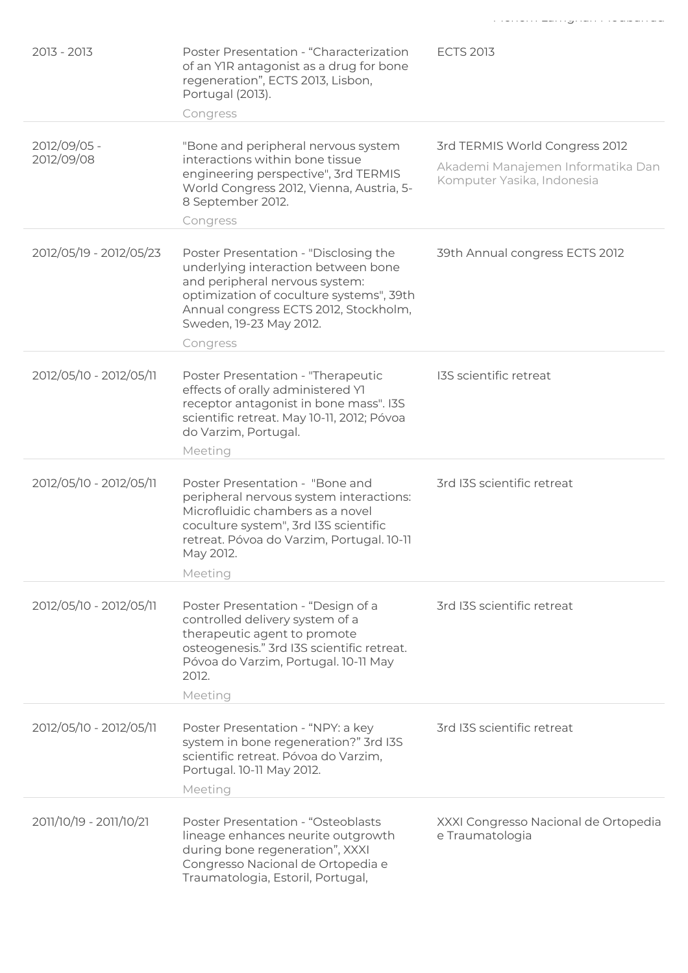| 2013 - 2013                | Poster Presentation - "Characterization<br>of an YIR antagonist as a drug for bone<br>regeneration", ECTS 2013, Lisbon,<br>Portugal (2013).<br>Congress                                                                                    | <b>ECTS 2013</b>                                                                                  |
|----------------------------|--------------------------------------------------------------------------------------------------------------------------------------------------------------------------------------------------------------------------------------------|---------------------------------------------------------------------------------------------------|
| 2012/09/05 -<br>2012/09/08 | "Bone and peripheral nervous system<br>interactions within bone tissue<br>engineering perspective", 3rd TERMIS<br>World Congress 2012, Vienna, Austria, 5-<br>8 September 2012.<br>Congress                                                | 3rd TERMIS World Congress 2012<br>Akademi Manajemen Informatika Dan<br>Komputer Yasika, Indonesia |
| 2012/05/19 - 2012/05/23    | Poster Presentation - "Disclosing the<br>underlying interaction between bone<br>and peripheral nervous system:<br>optimization of coculture systems", 39th<br>Annual congress ECTS 2012, Stockholm,<br>Sweden, 19-23 May 2012.<br>Congress | 39th Annual congress ECTS 2012                                                                    |
| 2012/05/10 - 2012/05/11    | Poster Presentation - "Therapeutic<br>effects of orally administered YI<br>receptor antagonist in bone mass". I3S<br>scientific retreat. May 10-11, 2012; Póvoa<br>do Varzim, Portugal.<br>Meeting                                         | I3S scientific retreat                                                                            |
| 2012/05/10 - 2012/05/11    | Poster Presentation - "Bone and<br>peripheral nervous system interactions:<br>Microfluidic chambers as a novel<br>coculture system", 3rd I3S scientific<br>retreat. Póvoa do Varzim, Portugal. 10-11<br>May 2012.<br>Meeting               | 3rd I3S scientific retreat                                                                        |
| 2012/05/10 - 2012/05/11    | Poster Presentation - "Design of a<br>controlled delivery system of a<br>therapeutic agent to promote<br>osteogenesis." 3rd I3S scientific retreat.<br>Póvoa do Varzim, Portugal. 10-11 May<br>2012.<br>Meeting                            | 3rd I3S scientific retreat                                                                        |
| 2012/05/10 - 2012/05/11    | Poster Presentation - "NPY: a key<br>system in bone regeneration?" 3rd I3S<br>scientific retreat. Póvoa do Varzim,<br>Portugal. 10-11 May 2012.<br>Meeting                                                                                 | 3rd I3S scientific retreat                                                                        |
| 2011/10/19 - 2011/10/21    | Poster Presentation - "Osteoblasts<br>lineage enhances neurite outgrowth<br>during bone regeneration", XXXI<br>Congresso Nacional de Ortopedia e<br>Traumatologia, Estoril, Portugal,                                                      | XXXI Congresso Nacional de Ortopedia<br>e Traumatologia                                           |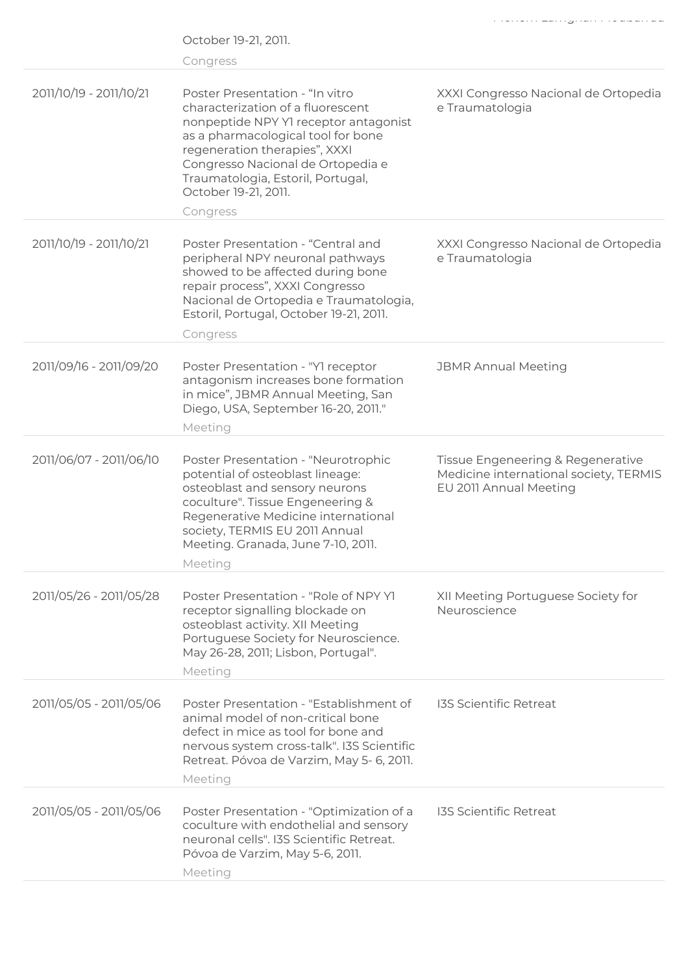|                         | October 19-21, 2011.<br>Congress                                                                                                                                                                                                                                                                    |                                                                                                       |
|-------------------------|-----------------------------------------------------------------------------------------------------------------------------------------------------------------------------------------------------------------------------------------------------------------------------------------------------|-------------------------------------------------------------------------------------------------------|
| 2011/10/19 - 2011/10/21 | Poster Presentation - "In vitro"<br>characterization of a fluorescent<br>nonpeptide NPY Y1 receptor antagonist<br>as a pharmacological tool for bone<br>regeneration therapies", XXXI<br>Congresso Nacional de Ortopedia e<br>Traumatologia, Estoril, Portugal,<br>October 19-21, 2011.<br>Congress | XXXI Congresso Nacional de Ortopedia<br>e Traumatologia                                               |
| 2011/10/19 - 2011/10/21 | Poster Presentation - "Central and<br>peripheral NPY neuronal pathways<br>showed to be affected during bone<br>repair process", XXXI Congresso<br>Nacional de Ortopedia e Traumatologia,<br>Estoril, Portugal, October 19-21, 2011.<br>Congress                                                     | XXXI Congresso Nacional de Ortopedia<br>e Traumatologia                                               |
| 2011/09/16 - 2011/09/20 | Poster Presentation - "Y1 receptor<br>antagonism increases bone formation<br>in mice", JBMR Annual Meeting, San<br>Diego, USA, September 16-20, 2011."<br>Meeting                                                                                                                                   | <b>JBMR Annual Meeting</b>                                                                            |
| 2011/06/07 - 2011/06/10 | Poster Presentation - "Neurotrophic<br>potential of osteoblast lineage:<br>osteoblast and sensory neurons<br>coculture". Tissue Engeneering &<br>Regenerative Medicine international<br>society, TERMIS EU 2011 Annual<br>Meeting. Granada, June 7-10, 2011.<br>Meeting                             | Tissue Engeneering & Regenerative<br>Medicine international society, TERMIS<br>EU 2011 Annual Meeting |
| 2011/05/26 - 2011/05/28 | Poster Presentation - "Role of NPY YI<br>receptor signalling blockade on<br>osteoblast activity. XII Meeting<br>Portuguese Society for Neuroscience.<br>May 26-28, 2011; Lisbon, Portugal".<br>Meeting                                                                                              | XII Meeting Portuguese Society for<br>Neuroscience                                                    |
| 2011/05/05 - 2011/05/06 | Poster Presentation - "Establishment of<br>animal model of non-critical bone<br>defect in mice as tool for bone and<br>nervous system cross-talk". I3S Scientific<br>Retreat. Póvoa de Varzim, May 5- 6, 2011.<br>Meeting                                                                           | <b>I3S Scientific Retreat</b>                                                                         |
| 2011/05/05 - 2011/05/06 | Poster Presentation - "Optimization of a<br>coculture with endothelial and sensory<br>neuronal cells". I3S Scientific Retreat.<br>Póvoa de Varzim, May 5-6, 2011.<br>Meeting                                                                                                                        | <b>I3S Scientific Retreat</b>                                                                         |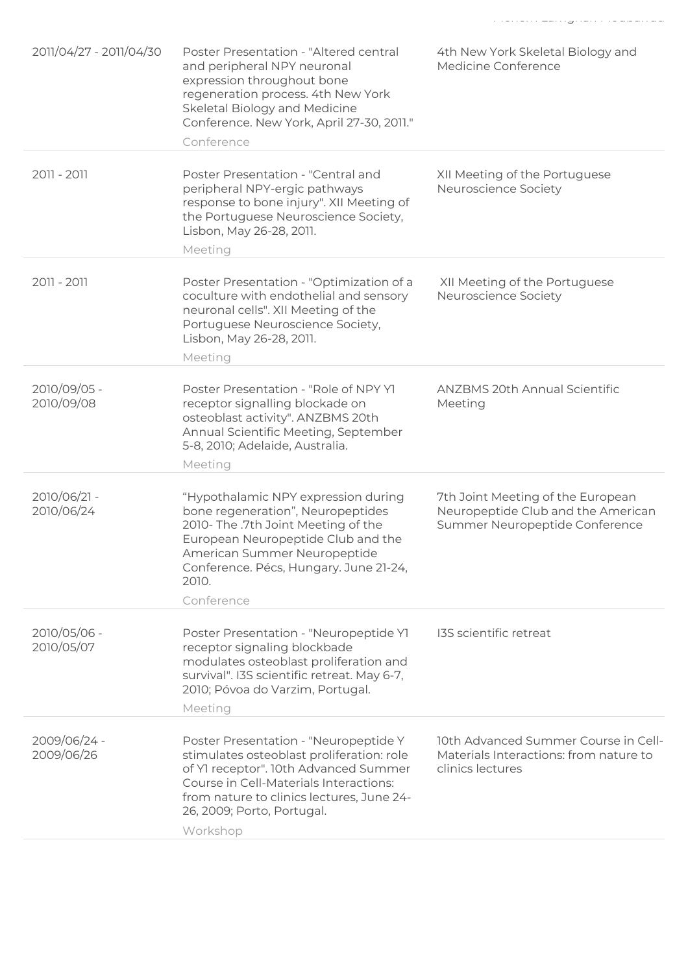|                            | and peripheral NPY neuronal<br>expression throughout bone<br>regeneration process. 4th New York<br>Skeletal Biology and Medicine<br>Conference. New York, April 27-30, 2011."<br>Conference                                                                  | Medicine Conference                                                                                       |
|----------------------------|--------------------------------------------------------------------------------------------------------------------------------------------------------------------------------------------------------------------------------------------------------------|-----------------------------------------------------------------------------------------------------------|
| 2011 - 2011                | Poster Presentation - "Central and<br>peripheral NPY-ergic pathways<br>response to bone injury". XII Meeting of<br>the Portuguese Neuroscience Society,<br>Lisbon, May 26-28, 2011.<br>Meeting                                                               | XII Meeting of the Portuguese<br>Neuroscience Society                                                     |
| 2011 - 2011                | Poster Presentation - "Optimization of a<br>coculture with endothelial and sensory<br>neuronal cells". XII Meeting of the<br>Portuguese Neuroscience Society,<br>Lisbon, May 26-28, 2011.<br>Meeting                                                         | XII Meeting of the Portuguese<br>Neuroscience Society                                                     |
| 2010/09/05 -<br>2010/09/08 | Poster Presentation - "Role of NPY YI<br>receptor signalling blockade on<br>osteoblast activity". ANZBMS 20th<br>Annual Scientific Meeting, September<br>5-8, 2010; Adelaide, Australia.<br>Meeting                                                          | <b>ANZBMS 20th Annual Scientific</b><br>Meeting                                                           |
| 2010/06/21 -<br>2010/06/24 | "Hypothalamic NPY expression during<br>bone regeneration", Neuropeptides<br>2010- The .7th Joint Meeting of the<br>European Neuropeptide Club and the<br>American Summer Neuropeptide<br>Conference. Pécs, Hungary. June 21-24,<br>2010.<br>Conference       | 7th Joint Meeting of the European<br>Neuropeptide Club and the American<br>Summer Neuropeptide Conference |
| 2010/05/06 -<br>2010/05/07 | Poster Presentation - "Neuropeptide YI<br>receptor signaling blockbade<br>modulates osteoblast proliferation and<br>survival". I3S scientific retreat. May 6-7,<br>2010; Póvoa do Varzim, Portugal.<br>Meeting                                               | <b>I3S</b> scientific retreat                                                                             |
| 2009/06/24 -<br>2009/06/26 | Poster Presentation - "Neuropeptide Y<br>stimulates osteoblast proliferation: role<br>of Y1 receptor". 10th Advanced Summer<br>Course in Cell-Materials Interactions:<br>from nature to clinics lectures, June 24-<br>26, 2009; Porto, Portugal.<br>Workshop | 10th Advanced Summer Course in Cell-<br>Materials Interactions: from nature to<br>clinics lectures        |
|                            |                                                                                                                                                                                                                                                              |                                                                                                           |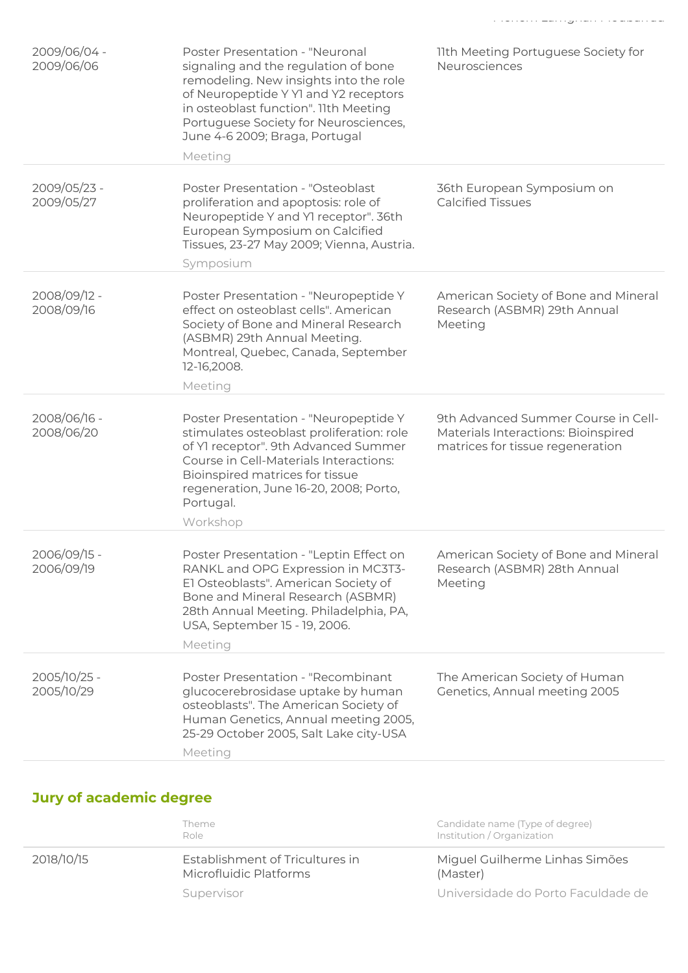| 2009/06/04 -<br>2009/06/06 | Poster Presentation - "Neuronal<br>signaling and the regulation of bone<br>remodeling. New insights into the role<br>of Neuropeptide Y Y1 and Y2 receptors<br>in osteoblast function". 11th Meeting<br>Portuguese Society for Neurosciences,<br>June 4-6 2009; Braga, Portugal<br>Meeting | 11th Meeting Portuguese Society for<br>Neurosciences                                                           |
|----------------------------|-------------------------------------------------------------------------------------------------------------------------------------------------------------------------------------------------------------------------------------------------------------------------------------------|----------------------------------------------------------------------------------------------------------------|
| 2009/05/23 -<br>2009/05/27 | <b>Poster Presentation - "Osteoblast</b><br>proliferation and apoptosis: role of<br>Neuropeptide Y and YI receptor". 36th<br>European Symposium on Calcified<br>Tissues, 23-27 May 2009; Vienna, Austria.<br>Symposium                                                                    | 36th European Symposium on<br><b>Calcified Tissues</b>                                                         |
| 2008/09/12 -<br>2008/09/16 | Poster Presentation - "Neuropeptide Y<br>effect on osteoblast cells". American<br>Society of Bone and Mineral Research<br>(ASBMR) 29th Annual Meeting.<br>Montreal, Quebec, Canada, September<br>12-16,2008.<br>Meeting                                                                   | American Society of Bone and Mineral<br>Research (ASBMR) 29th Annual<br>Meeting                                |
| 2008/06/16 -<br>2008/06/20 | Poster Presentation - "Neuropeptide Y<br>stimulates osteoblast proliferation: role<br>of Y1 receptor". 9th Advanced Summer<br>Course in Cell-Materials Interactions:<br>Bioinspired matrices for tissue<br>regeneration, June 16-20, 2008; Porto,<br>Portugal.<br>Workshop                | 9th Advanced Summer Course in Cell-<br>Materials Interactions: Bioinspired<br>matrices for tissue regeneration |
| 2006/09/15 -<br>2006/09/19 | Poster Presentation - "Leptin Effect on<br>RANKL and OPG Expression in MC3T3-<br>El Osteoblasts". American Society of<br>Bone and Mineral Research (ASBMR)<br>28th Annual Meeting. Philadelphia, PA,<br>USA, September 15 - 19, 2006.<br>Meeting                                          | American Society of Bone and Mineral<br>Research (ASBMR) 28th Annual<br>Meeting                                |
| 2005/10/25 -<br>2005/10/29 | Poster Presentation - "Recombinant<br>glucocerebrosidase uptake by human<br>osteoblasts". The American Society of<br>Human Genetics, Annual meeting 2005,<br>25-29 October 2005, Salt Lake city-USA<br>Meeting                                                                            | The American Society of Human<br>Genetics, Annual meeting 2005                                                 |

# Jury of academic degree

|            | Theme<br>Role                                             | Candidate name (Type of degree)<br>Institution / Organization |
|------------|-----------------------------------------------------------|---------------------------------------------------------------|
| 2018/10/15 | Establishment of Tricultures in<br>Microfluidic Platforms | Miguel Guilherme Linhas Simões<br>(Master)                    |
|            | Supervisor                                                | Universidade do Porto Faculdade de                            |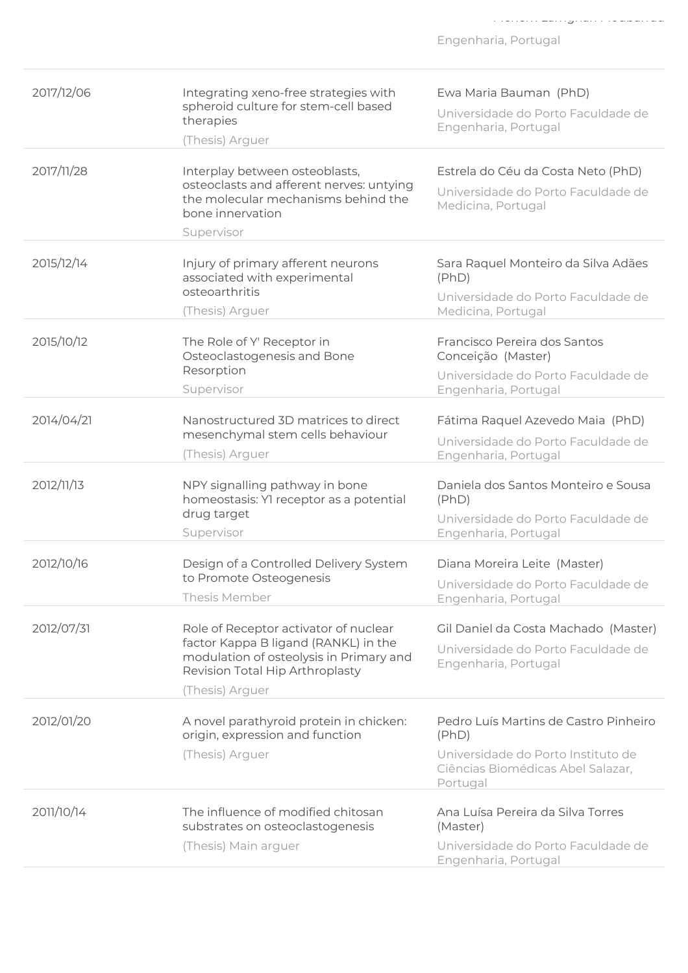| 2017/12/06 | Integrating xeno-free strategies with<br>spheroid culture for stem-cell based<br>therapies<br>(Thesis) Arguer                                                                  | Ewa Maria Bauman (PhD)<br>Universidade do Porto Faculdade de<br>Engenharia, Portugal                                                  |
|------------|--------------------------------------------------------------------------------------------------------------------------------------------------------------------------------|---------------------------------------------------------------------------------------------------------------------------------------|
| 2017/11/28 | Interplay between osteoblasts,<br>osteoclasts and afferent nerves: untying<br>the molecular mechanisms behind the<br>bone innervation<br>Supervisor                            | Estrela do Céu da Costa Neto (PhD)<br>Universidade do Porto Faculdade de<br>Medicina, Portugal                                        |
| 2015/12/14 | Injury of primary afferent neurons<br>associated with experimental<br>osteoarthritis<br>(Thesis) Arguer                                                                        | Sara Raquel Monteiro da Silva Adães<br>(PhD)<br>Universidade do Porto Faculdade de<br>Medicina, Portugal                              |
| 2015/10/12 | The Role of Y' Receptor in<br>Osteoclastogenesis and Bone<br>Resorption<br>Supervisor                                                                                          | Francisco Pereira dos Santos<br>Conceição (Master)<br>Universidade do Porto Faculdade de<br>Engenharia, Portugal                      |
| 2014/04/21 | Nanostructured 3D matrices to direct<br>mesenchymal stem cells behaviour<br>(Thesis) Arguer                                                                                    | Fátima Raquel Azevedo Maia (PhD)<br>Universidade do Porto Faculdade de<br>Engenharia, Portugal                                        |
| 2012/11/13 | NPY signalling pathway in bone<br>homeostasis: Yl receptor as a potential<br>drug target<br>Supervisor                                                                         | Daniela dos Santos Monteiro e Sousa<br>(PhD)<br>Universidade do Porto Faculdade de<br>Engenharia, Portugal                            |
| 2012/10/16 | Design of a Controlled Delivery System<br>to Promote Osteogenesis<br>Thesis Member                                                                                             | Diana Moreira Leite (Master)<br>Universidade do Porto Faculdade de<br>Engenharia, Portugal                                            |
| 2012/07/31 | Role of Receptor activator of nuclear<br>factor Kappa B ligand (RANKL) in the<br>modulation of osteolysis in Primary and<br>Revision Total Hip Arthroplasty<br>(Thesis) Arguer | Gil Daniel da Costa Machado (Master)<br>Universidade do Porto Faculdade de<br>Engenharia, Portugal                                    |
| 2012/01/20 | A novel parathyroid protein in chicken:<br>origin, expression and function<br>(Thesis) Arguer                                                                                  | Pedro Luís Martins de Castro Pinheiro<br>(PhD)<br>Universidade do Porto Instituto de<br>Ciências Biomédicas Abel Salazar,<br>Portugal |
| 2011/10/14 | The influence of modified chitosan<br>substrates on osteoclastogenesis<br>(Thesis) Main arguer                                                                                 | Ana Luísa Pereira da Silva Torres<br>(Master)<br>Universidade do Porto Faculdade de<br>Engenharia, Portugal                           |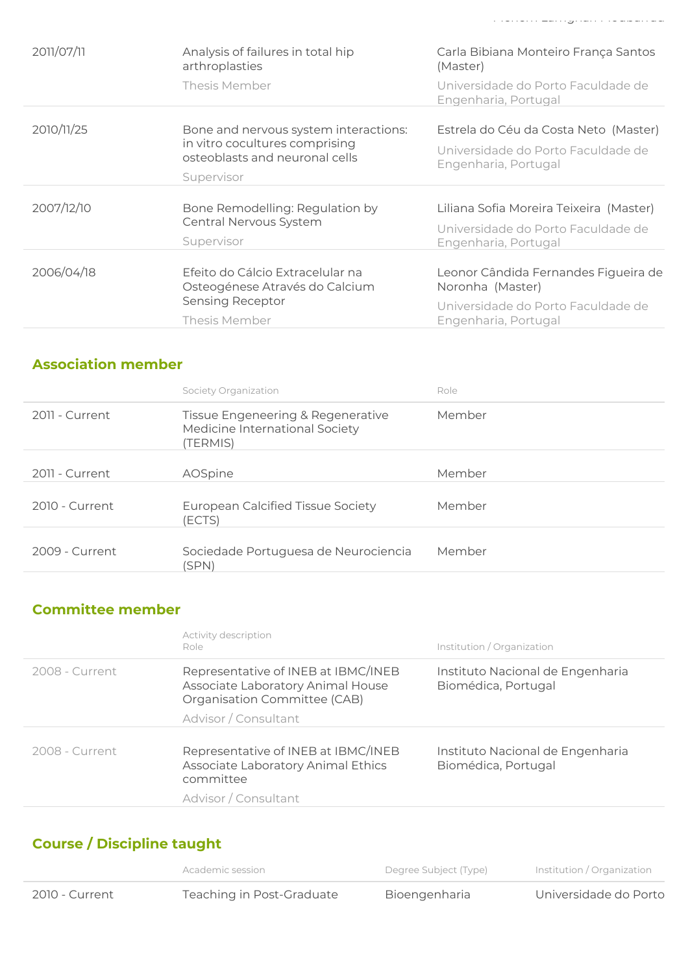|            | Thesis Member                                                      | Universidade do Porto Faculdade de<br>Engenharia, Portugal |
|------------|--------------------------------------------------------------------|------------------------------------------------------------|
|            |                                                                    |                                                            |
| 2010/11/25 | Bone and nervous system interactions:                              | Estrela do Céu da Costa Neto (Master)                      |
|            | in vitro cocultures comprising<br>osteoblasts and neuronal cells   | Universidade do Porto Faculdade de<br>Engenharia, Portugal |
|            | Supervisor                                                         |                                                            |
|            |                                                                    |                                                            |
| 2007/12/10 | Bone Remodelling: Regulation by                                    | Liliana Sofia Moreira Teixeira (Master)                    |
|            | Central Nervous System<br>Supervisor                               | Universidade do Porto Faculdade de<br>Engenharia, Portugal |
|            |                                                                    |                                                            |
| 2006/04/18 | Efeito do Cálcio Extracelular na<br>Osteogénese Através do Calcium | Leonor Cândida Fernandes Figueira de<br>Noronha (Master)   |
|            | Sensing Receptor                                                   | Universidade do Porto Faculdade de                         |
|            | Thesis Member                                                      | Engenharia, Portugal                                       |
|            |                                                                    |                                                            |

### Association member

2011/07/11

|                | Society Organization                                                            | Role   |
|----------------|---------------------------------------------------------------------------------|--------|
| 2011 - Current | Tissue Engeneering & Regenerative<br>Medicine International Society<br>(TERMIS) | Member |
| 2011 - Current | AOSpine                                                                         | Member |
| 2010 - Current | <b>European Calcified Tissue Society</b><br>(ECTS)                              | Member |
| 2009 - Current | Sociedade Portuguesa de Neurociencia<br>(SPN)                                   | Member |

### Committee member

|                | Activity description<br>Role                                                                                                     | Institution / Organization                              |
|----------------|----------------------------------------------------------------------------------------------------------------------------------|---------------------------------------------------------|
| 2008 - Current | Representative of INEB at IBMC/INEB<br>Associate Laboratory Animal House<br>Organisation Committee (CAB)<br>Advisor / Consultant | Instituto Nacional de Engenharia<br>Biomédica, Portugal |
| 2008 - Current | Representative of INEB at IBMC/INEB<br>Associate Laboratory Animal Ethics<br>committee<br>Advisor / Consultant                   | Instituto Nacional de Engenharia<br>Biomédica, Portugal |

### Course / Discipline taught

|                | Academic session          | Degree Subject (Type) | Institution / Organization |
|----------------|---------------------------|-----------------------|----------------------------|
| 2010 - Current | Teaching in Post-Graduate | Bioengenharia         | Universidade do Porto      |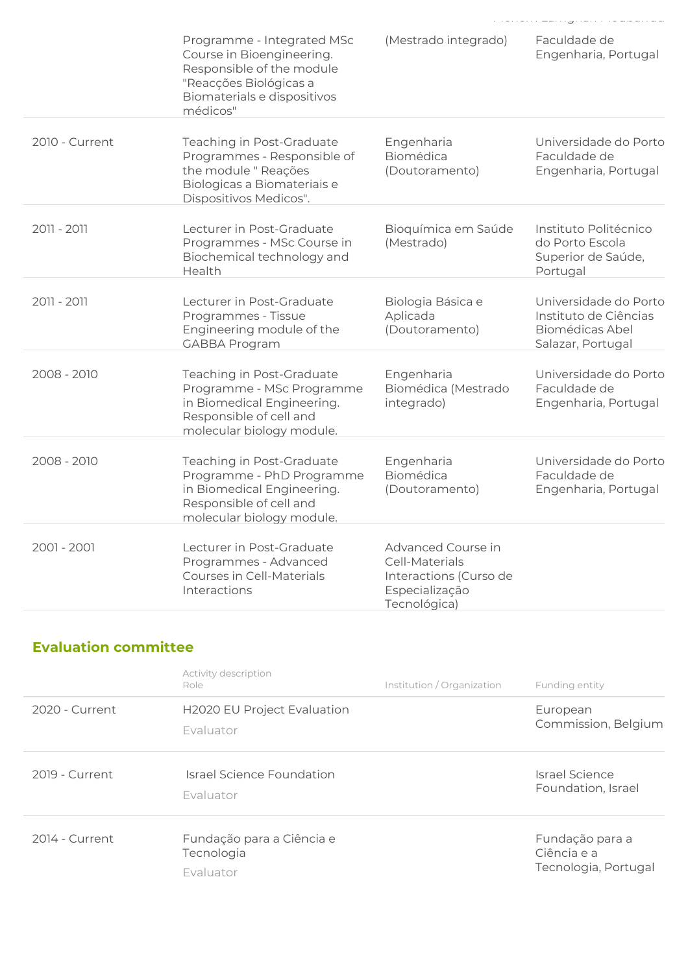|                | Programme - Integrated MSc<br>Course in Bioengineering.<br>Responsible of the module<br>"Reacções Biológicas a<br>Biomaterials e dispositivos<br>médicos" | (Mestrado integrado)                                                                             | Faculdade de<br>Engenharia, Portugal                                                   |
|----------------|-----------------------------------------------------------------------------------------------------------------------------------------------------------|--------------------------------------------------------------------------------------------------|----------------------------------------------------------------------------------------|
| 2010 - Current | Teaching in Post-Graduate<br>Programmes - Responsible of<br>the module " Reações<br>Biologicas a Biomateriais e<br>Dispositivos Medicos".                 | Engenharia<br>Biomédica<br>(Doutoramento)                                                        | Universidade do Porto<br>Faculdade de<br>Engenharia, Portugal                          |
| 2011 - 2011    | Lecturer in Post-Graduate<br>Programmes - MSc Course in<br>Biochemical technology and<br>Health                                                           | Bioquímica em Saúde<br>(Mestrado)                                                                | Instituto Politécnico<br>do Porto Escola<br>Superior de Saúde,<br>Portugal             |
| 2011 - 2011    | Lecturer in Post-Graduate<br>Programmes - Tissue<br>Engineering module of the<br><b>GABBA Program</b>                                                     | Biologia Básica e<br>Aplicada<br>(Doutoramento)                                                  | Universidade do Porto<br>Instituto de Ciências<br>Biomédicas Abel<br>Salazar, Portugal |
| 2008 - 2010    | Teaching in Post-Graduate<br>Programme - MSc Programme<br>in Biomedical Engineering.<br>Responsible of cell and<br>molecular biology module.              | Engenharia<br>Biomédica (Mestrado<br>integrado)                                                  | Universidade do Porto<br>Faculdade de<br>Engenharia, Portugal                          |
| 2008 - 2010    | Teaching in Post-Graduate<br>Programme - PhD Programme<br>in Biomedical Engineering.<br>Responsible of cell and<br>molecular biology module.              | Engenharia<br>Biomédica<br>(Doutoramento)                                                        | Universidade do Porto<br>Faculdade de<br>Engenharia, Portugal                          |
| 2001 - 2001    | Lecturer in Post-Graduate<br>Programmes - Advanced<br>Courses in Cell-Materials<br>Interactions                                                           | Advanced Course in<br>Cell-Materials<br>Interactions (Curso de<br>Especialização<br>Tecnológica) |                                                                                        |

## Evaluation committee

|                | Activity description<br>Role                         | Institution / Organization | Funding entity                                         |
|----------------|------------------------------------------------------|----------------------------|--------------------------------------------------------|
| 2020 - Current | <b>H2020 EU Project Evaluation</b><br>Evaluator      |                            | European<br>Commission, Belgium                        |
| 2019 - Current | Israel Science Foundation<br>Fvaluator               |                            | Israel Science<br>Foundation, Israel                   |
| 2014 - Current | Fundação para a Ciência e<br>Tecnologia<br>Evaluator |                            | Fundação para a<br>Ciência e a<br>Tecnologia, Portugal |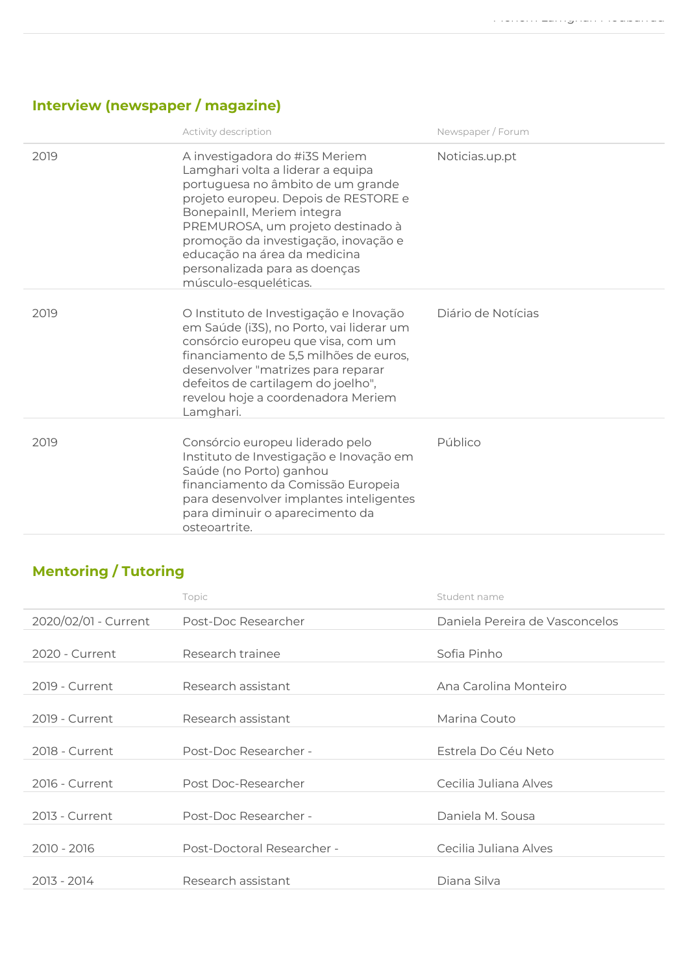# Interview (newspaper / magazine)

|      | Activity description                                                                                                                                                                                                                                                                                                                                  | Newspaper / Forum  |
|------|-------------------------------------------------------------------------------------------------------------------------------------------------------------------------------------------------------------------------------------------------------------------------------------------------------------------------------------------------------|--------------------|
| 2019 | A investigadora do #i3S Meriem<br>Lamghari volta a liderar a equipa<br>portuguesa no âmbito de um grande<br>projeto europeu. Depois de RESTORE e<br>BonepainII, Meriem integra<br>PREMUROSA, um projeto destinado à<br>promoção da investigação, inovação e<br>educação na área da medicina<br>personalizada para as doenças<br>músculo-esqueléticas. | Noticias.up.pt     |
| 2019 | O Instituto de Investigação e Inovação<br>em Saúde (i3S), no Porto, vai liderar um<br>consórcio europeu que visa, com um<br>financiamento de 5,5 milhões de euros,<br>desenvolver "matrizes para reparar<br>defeitos de cartilagem do joelho",<br>revelou hoje a coordenadora Meriem<br>Lamghari.                                                     | Diário de Notícias |
| 2019 | Consórcio europeu liderado pelo<br>Instituto de Investigação e Inovação em<br>Saúde (no Porto) ganhou<br>financiamento da Comissão Europeia<br>para desenvolver implantes inteligentes<br>para diminuir o aparecimento da<br>osteoartrite.                                                                                                            | Público            |

# Mentoring / Tutoring

|                      | Topic                      | Student name                   |
|----------------------|----------------------------|--------------------------------|
| 2020/02/01 - Current | Post-Doc Researcher        | Daniela Pereira de Vasconcelos |
| 2020 - Current       | Research trainee           | Sofia Pinho                    |
| 2019 - Current       | Research assistant         | Ana Carolina Monteiro          |
| 2019 - Current       | Research assistant         | Marina Couto                   |
| 2018 - Current       | Post-Doc Researcher -      | Estrela Do Céu Neto            |
| 2016 - Current       | Post Doc-Researcher        | Cecilia Juliana Alves          |
| 2013 - Current       | Post-Doc Researcher -      | Daniela M. Sousa               |
| 2010 - 2016          | Post-Doctoral Researcher - | Cecilia Juliana Alves          |
| 2013 - 2014          | Research assistant         | Diana Silva                    |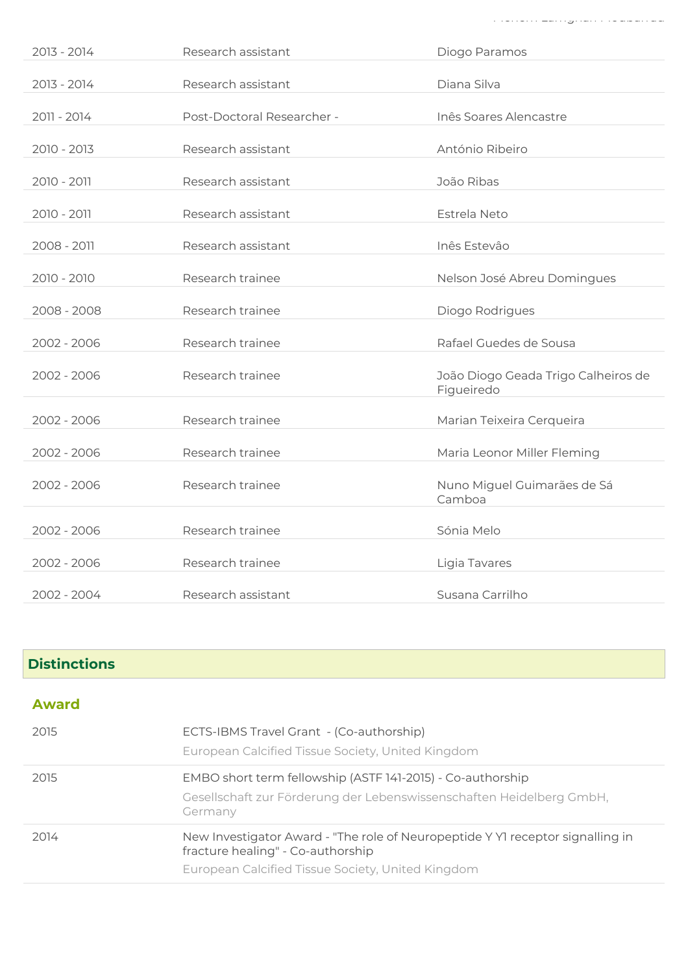| 2013 - 2014   | Research assistant         | Diogo Paramos                                     |
|---------------|----------------------------|---------------------------------------------------|
| 2013 - 2014   | Research assistant         | Diana Silva                                       |
| 2011 - 2014   | Post-Doctoral Researcher - | Inês Soares Alencastre                            |
| $2010 - 2013$ | Research assistant         | António Ribeiro                                   |
| 2010 - 2011   | Research assistant         | João Ribas                                        |
| 2010 - 2011   | Research assistant         | Estrela Neto                                      |
| 2008 - 2011   | Research assistant         | Inês Estevâo                                      |
| 2010 - 2010   | Research trainee           | Nelson José Abreu Domingues                       |
| 2008 - 2008   | Research trainee           | Diogo Rodrigues                                   |
| 2002 - 2006   | Research trainee           | Rafael Guedes de Sousa                            |
| 2002 - 2006   | Research trainee           | João Diogo Geada Trigo Calheiros de<br>Figueiredo |
| 2002 - 2006   | Research trainee           | Marian Teixeira Cerqueira                         |
| 2002 - 2006   | Research trainee           | Maria Leonor Miller Fleming                       |
| 2002 - 2006   | Research trainee           | Nuno Miguel Guimarães de Sá<br>Camboa             |
| 2002 - 2006   | Research trainee           | Sónia Melo                                        |
| 2002 - 2006   | Research trainee           | Ligia Tavares                                     |
| 2002 - 2004   | Research assistant         | Susana Carrilho                                   |

### **Distinctions**

| <b>Award</b> |                                                                                                                                                                          |
|--------------|--------------------------------------------------------------------------------------------------------------------------------------------------------------------------|
| 2015         | ECTS-IBMS Travel Grant - (Co-authorship)<br>European Calcified Tissue Society, United Kingdom                                                                            |
| 2015         | EMBO short term fellowship (ASTF 141-2015) - Co-authorship<br>Gesellschaft zur Förderung der Lebenswissenschaften Heidelberg GmbH,<br>Germany                            |
| 2014         | New Investigator Award - "The role of Neuropeptide Y YI receptor signalling in<br>fracture healing" - Co-authorship<br>European Calcified Tissue Society, United Kingdom |